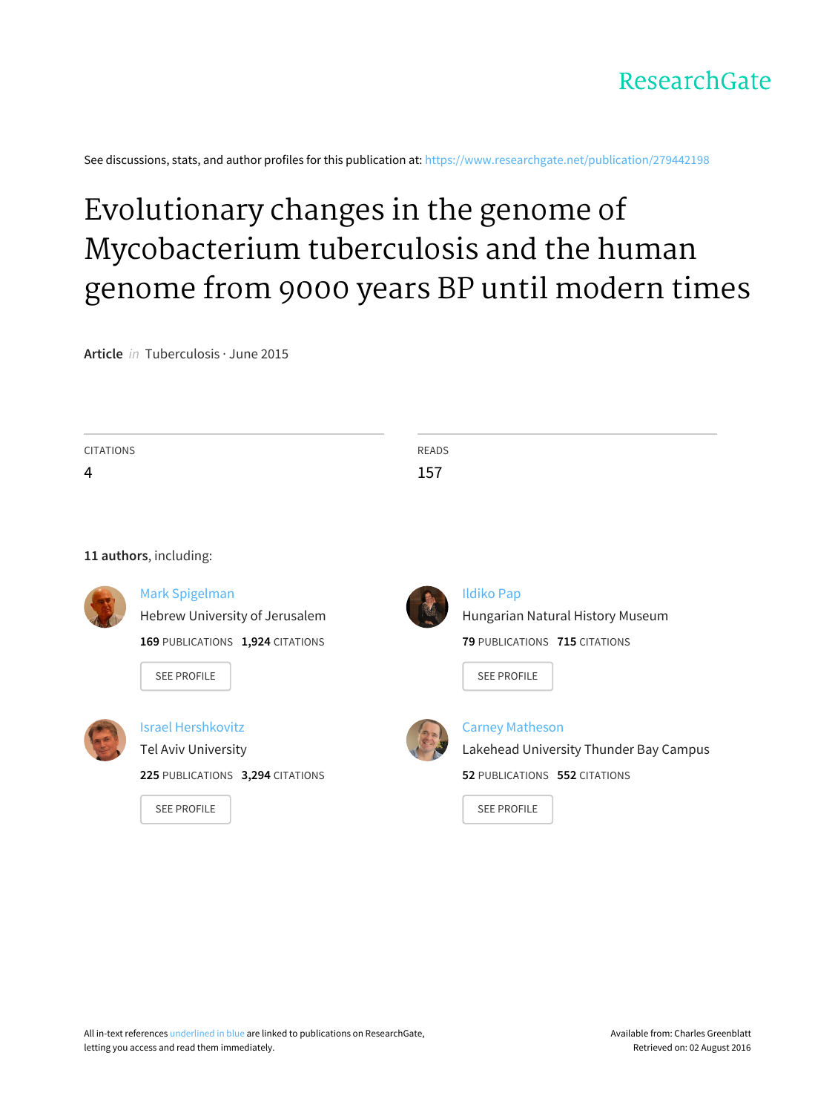

See discussions, stats, and author profiles for this publication at: [https://www.researchgate.net/publication/279442198](https://www.researchgate.net/publication/279442198_Evolutionary_changes_in_the_genome_of_Mycobacterium_tuberculosis_and_the_human_genome_from_9000_years_BP_until_modern_times?enrichId=rgreq-e9d2ea980cbe235ade05d1c343837470-XXX&enrichSource=Y292ZXJQYWdlOzI3OTQ0MjE5ODtBUzoyNDkxODI3NzQ2MjQyNTlAMTQzNjQyMTIxMTY4NA%3D%3D&el=1_x_2)

# Evolutionary changes in the genome of [Mycobacterium](https://www.researchgate.net/publication/279442198_Evolutionary_changes_in_the_genome_of_Mycobacterium_tuberculosis_and_the_human_genome_from_9000_years_BP_until_modern_times?enrichId=rgreq-e9d2ea980cbe235ade05d1c343837470-XXX&enrichSource=Y292ZXJQYWdlOzI3OTQ0MjE5ODtBUzoyNDkxODI3NzQ2MjQyNTlAMTQzNjQyMTIxMTY4NA%3D%3D&el=1_x_3) tuberculosis and the human genome from 9000 years BP until modern times

**Article** in Tuberculosis · June 2015

| <b>CITATIONS</b> |                                  | <b>READS</b> |                                        |
|------------------|----------------------------------|--------------|----------------------------------------|
| 4                |                                  | 157          |                                        |
|                  |                                  |              |                                        |
|                  | 11 authors, including:           |              |                                        |
|                  |                                  |              |                                        |
|                  | Mark Spigelman                   |              | <b>Ildiko Pap</b>                      |
|                  | Hebrew University of Jerusalem   |              | Hungarian Natural History Museum       |
|                  | 169 PUBLICATIONS 1,924 CITATIONS |              | 79 PUBLICATIONS 715 CITATIONS          |
|                  | <b>SEE PROFILE</b>               |              | <b>SEE PROFILE</b>                     |
|                  |                                  |              |                                        |
|                  | <b>Israel Hershkovitz</b>        |              | <b>Carney Matheson</b>                 |
|                  | Tel Aviv University              |              | Lakehead University Thunder Bay Campus |
|                  | 225 PUBLICATIONS 3,294 CITATIONS |              | 52 PUBLICATIONS 552 CITATIONS          |
|                  | <b>SEE PROFILE</b>               |              | <b>SEE PROFILE</b>                     |
|                  |                                  |              |                                        |
|                  |                                  |              |                                        |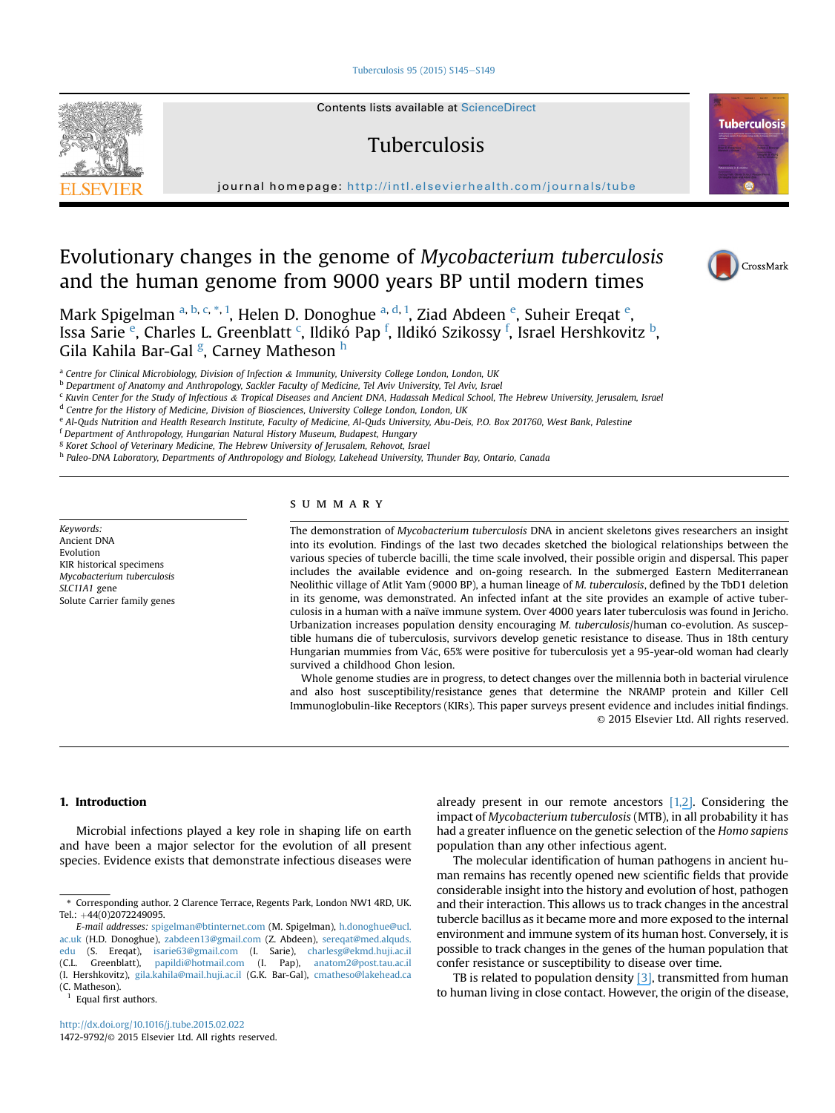#### [Tuberculosis 95 \(2015\) S145](http://dx.doi.org/10.1016/j.tube.2015.02.022)-[S149](http://dx.doi.org/10.1016/j.tube.2015.02.022)



Contents lists available at ScienceDirect

# Tuberculosis

journal homepage: <http://intl.elsevierhealth.com/journals/tube>

# Evolutionary changes in the genome of Mycobacterium tuberculosis and the human genome from 9000 years BP until modern times



CrossMark

**Tuberculosis** 



<sup>a</sup> Centre for Clinical Microbiology, Division of Infection & Immunity, University College London, London, UK

<sup>b</sup> Department of Anatomy and Anthropology, Sackler Faculty of Medicine, Tel Aviv University, Tel Aviv, Israel

<sup>c</sup> Kuvin Center for the Study of Infectious & Tropical Diseases and Ancient DNA, Hadassah Medical School, The Hebrew University, Jerusalem, Israel

<sup>d</sup> Centre for the History of Medicine, Division of Biosciences, University College London, London, UK

e Al-Quds Nutrition and Health Research Institute, Faculty of Medicine, Al-Quds University, Abu-Deis, P.O. Box 201760, West Bank, Palestine

<sup>f</sup> Department of Anthropology, Hungarian Natural History Museum, Budapest, Hungary

<sup>g</sup> Koret School of Veterinary Medicine, The Hebrew University of Jerusalem, Rehovot, Israel

h Paleo-DNA Laboratory, Departments of Anthropology and Biology, Lakehead University, Thunder Bay, Ontario, Canada

Keywords: Ancient DNA Evolution KIR historical specimens Mycobacterium tuberculosis SLC11A1 gene Solute Carrier family genes

## SUMMARY

The demonstration of Mycobacterium tuberculosis DNA in ancient skeletons gives researchers an insight into its evolution. Findings of the last two decades sketched the biological relationships between the various species of tubercle bacilli, the time scale involved, their possible origin and dispersal. This paper includes the available evidence and on-going research. In the submerged Eastern Mediterranean Neolithic village of Atlit Yam (9000 BP), a human lineage of M. tuberculosis, defined by the TbD1 deletion in its genome, was demonstrated. An infected infant at the site provides an example of active tuberculosis in a human with a naïve immune system. Over 4000 years later tuberculosis was found in Jericho. Urbanization increases population density encouraging M. tuberculosis/human co-evolution. As susceptible humans die of tuberculosis, survivors develop genetic resistance to disease. Thus in 18th century Hungarian mummies from V ac, 65% were positive for tuberculosis yet a 95-year-old woman had clearly survived a childhood Ghon lesion.

Whole genome studies are in progress, to detect changes over the millennia both in bacterial virulence and also host susceptibility/resistance genes that determine the NRAMP protein and Killer Cell Immunoglobulin-like Receptors (KIRs). This paper surveys present evidence and includes initial findings. © 2015 Elsevier Ltd. All rights reserved.

#### 1. Introduction

Microbial infections played a key role in shaping life on earth and have been a major selector for the evolution of all present species. Evidence exists that demonstrate infectious diseases were

Equal first authors.

already present in our remote ancestors  $[1,2]$  $[1,2]$ . Considering the impact of Mycobacterium tuberculosis (MTB), in all probability it has had a greater influence on the genetic selection of the Homo sapiens population than any other infectious agent.

The molecular identification of human pathogens in ancient human remains has recently opened new scientific fields that provide considerable insight into the history and evolution of host, pathogen and their interaction. This allows us to track changes in the ancestral tubercle bacillus as it became more and more exposed to the internal environment and immune system of its human host. Conversely, it is possible to track changes in the genes of the human population that confer resistance or susceptibility to disease over time.

TB is related to population density  $[3]$ , transmitted from human to human living in close contact. However, the origin of the disease,

<sup>\*</sup> Corresponding author. 2 Clarence Terrace, Regents Park, London NW1 4RD, UK. Tel.: +44(0)2072249095.

E-mail addresses: [spigelman@btinternet.com](mailto:spigelman@btinternet.com) (M. Spigelman), [h.donoghue@ucl.](mailto:h.donoghue@ucl.ac.uk) [ac.uk](mailto:h.donoghue@ucl.ac.uk) (H.D. Donoghue), [zabdeen13@gmail.com](mailto:zabdeen13@gmail.com) (Z. Abdeen), [sereqat@med.alquds.](mailto:sereqat@med.alquds.edu) [edu](mailto:sereqat@med.alquds.edu) (S. Ereqat), [isarie63@gmail.com](mailto:isarie63@gmail.com) (I. Sarie), [charlesg@ekmd.huji.ac.il](mailto:charlesg@ekmd.huji.ac.il) (C.L. Greenblatt), [papildi@hotmail.com](mailto:papildi@hotmail.com) (I. Pap), [anatom2@post.tau.ac.il](mailto:anatom2@post.tau.ac.il) (I. Hershkovitz), [gila.kahila@mail.huji.ac.il](mailto:gila.kahila@mail.huji.ac.il) (G.K. Bar-Gal), [cmatheso@lakehead.ca](mailto:cmatheso@lakehead.ca) (C. Matheson).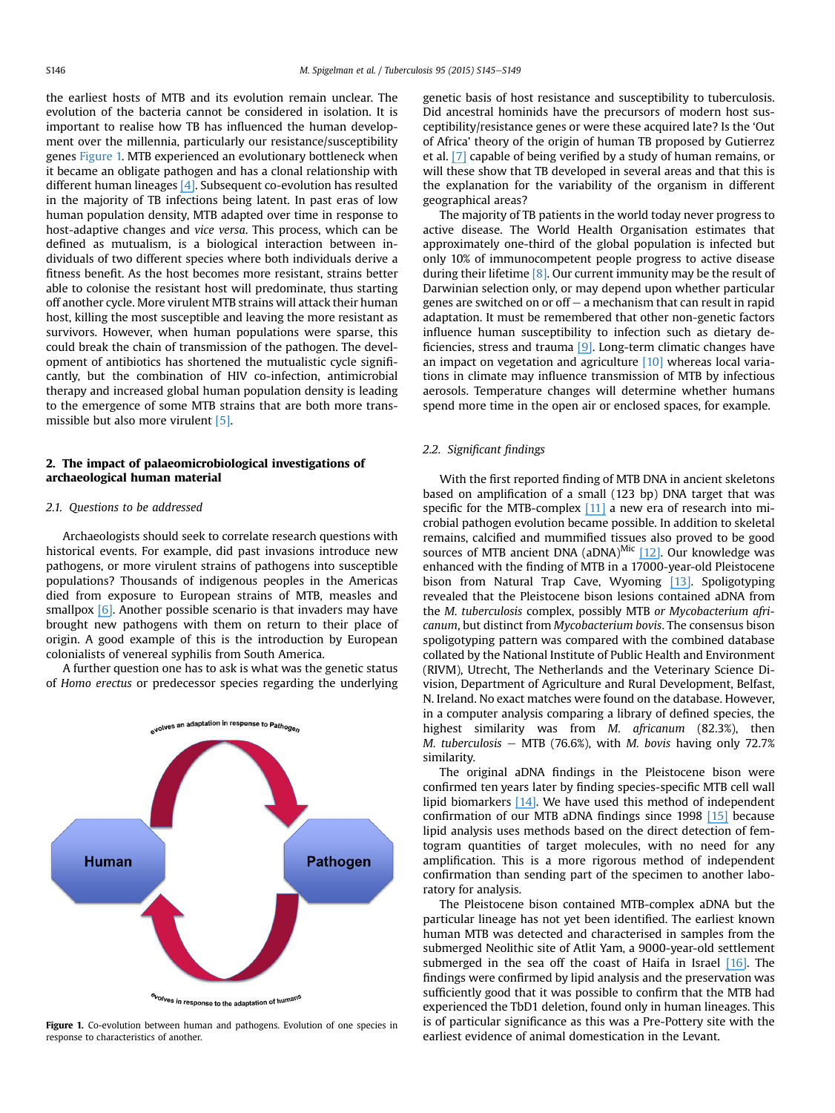the earliest hosts of MTB and its evolution remain unclear. The evolution of the bacteria cannot be considered in isolation. It is important to realise how TB has influenced the human development over the millennia, particularly our resistance/susceptibility genes Figure 1. MTB experienced an evolutionary bottleneck when it became an obligate pathogen and has a clonal relationship with different human lineages [\[4\]](https://www.researchgate.net/publication/221812391_Host-pathogen_coevolution_in_human_TB?el=1_x_8&enrichId=rgreq-e9d2ea980cbe235ade05d1c343837470-XXX&enrichSource=Y292ZXJQYWdlOzI3OTQ0MjE5ODtBUzoyNDkxODI3NzQ2MjQyNTlAMTQzNjQyMTIxMTY4NA==). Subsequent co-evolution has resulted in the majority of TB infections being latent. In past eras of low human population density, MTB adapted over time in response to host-adaptive changes and vice versa. This process, which can be defined as mutualism, is a biological interaction between individuals of two different species where both individuals derive a fitness benefit. As the host becomes more resistant, strains better able to colonise the resistant host will predominate, thus starting off another cycle. More virulent MTB strains will attack their human host, killing the most susceptible and leaving the more resistant as survivors. However, when human populations were sparse, this could break the chain of transmission of the pathogen. The development of antibiotics has shortened the mutualistic cycle significantly, but the combination of HIV co-infection, antimicrobial therapy and increased global human population density is leading to the emergence of some MTB strains that are both more transmissible but also more virulent [5].

## 2. The impact of palaeomicrobiological investigations of archaeological human material

#### 2.1. Questions to be addressed

Archaeologists should seek to correlate research questions with historical events. For example, did past invasions introduce new pathogens, or more virulent strains of pathogens into susceptible populations? Thousands of indigenous peoples in the Americas died from exposure to European strains of MTB, measles and smallpox [\[6\]](https://www.researchgate.net/publication/229577219_A_New_World_of_Infectious_Disease?el=1_x_8&enrichId=rgreq-e9d2ea980cbe235ade05d1c343837470-XXX&enrichSource=Y292ZXJQYWdlOzI3OTQ0MjE5ODtBUzoyNDkxODI3NzQ2MjQyNTlAMTQzNjQyMTIxMTY4NA==). Another possible scenario is that invaders may have brought new pathogens with them on return to their place of origin. A good example of this is the introduction by European colonialists of venereal syphilis from South America.

A further question one has to ask is what was the genetic status of Homo erectus or predecessor species regarding the underlying



Figure 1. Co-evolution between human and pathogens. Evolution of one species in response to characteristics of another.

genetic basis of host resistance and susceptibility to tuberculosis. Did ancestral hominids have the precursors of modern host susceptibility/resistance genes or were these acquired late? Is the 'Out of Africa' theory of the origin of human TB proposed by Gutierrez et al. [\[7\]](https://www.researchgate.net/publication/7564218_Gutierrez_M_C_et_al_Ancient_origin_and_gene_mosaicism_of_the_progenitor_of_Mycobacterium_tuberculosis_PLoS_Pathogens_1_e5?el=1_x_8&enrichId=rgreq-e9d2ea980cbe235ade05d1c343837470-XXX&enrichSource=Y292ZXJQYWdlOzI3OTQ0MjE5ODtBUzoyNDkxODI3NzQ2MjQyNTlAMTQzNjQyMTIxMTY4NA==) capable of being verified by a study of human remains, or will these show that TB developed in several areas and that this is the explanation for the variability of the organism in different geographical areas?

The majority of TB patients in the world today never progress to active disease. The World Health Organisation estimates that approximately one-third of the global population is infected but only 10% of immunocompetent people progress to active disease during their lifetime  $[8]$ . Our current immunity may be the result of Darwinian selection only, or may depend upon whether particular genes are switched on or off  $-$  a mechanism that can result in rapid adaptation. It must be remembered that other non-genetic factors influence human susceptibility to infection such as dietary deficiencies, stress and trauma [\[9\]](https://www.researchgate.net/publication/6496451_Patterns_of_tuberculosis_in_the_Americas-How_can_modern_biomedicine_inform_the_ancient_past_Mem_Inst_Oswaldo_Cruz_101Suppl_II59-66?el=1_x_8&enrichId=rgreq-e9d2ea980cbe235ade05d1c343837470-XXX&enrichSource=Y292ZXJQYWdlOzI3OTQ0MjE5ODtBUzoyNDkxODI3NzQ2MjQyNTlAMTQzNjQyMTIxMTY4NA==). Long-term climatic changes have an impact on vegetation and agriculture  $[10]$  whereas local variations in climate may influence transmission of MTB by infectious aerosols. Temperature changes will determine whether humans spend more time in the open air or enclosed spaces, for example.

#### 2.2. Significant findings

With the first reported finding of MTB DNA in ancient skeletons based on amplification of a small (123 bp) DNA target that was specific for the MTB-complex [\[11\]](https://www.researchgate.net/publication/229883685_The_Use_of_Polymerase_Chain_Reaction_to_Detect_Mycobacterium_tuberculosis_in_Ancient_Skeletons?el=1_x_8&enrichId=rgreq-e9d2ea980cbe235ade05d1c343837470-XXX&enrichSource=Y292ZXJQYWdlOzI3OTQ0MjE5ODtBUzoyNDkxODI3NzQ2MjQyNTlAMTQzNjQyMTIxMTY4NA==) a new era of research into microbial pathogen evolution became possible. In addition to skeletal remains, calcified and mummified tissues also proved to be good sources of MTB ancient DNA  $(aDNA)^{Mic}$  [\[12\]](https://www.researchgate.net/publication/32885199_Widespread_occurrence_of_Mycobacterium_tuberculosis_DNA_from_18th-19th_century_Hungarians?el=1_x_8&enrichId=rgreq-e9d2ea980cbe235ade05d1c343837470-XXX&enrichSource=Y292ZXJQYWdlOzI3OTQ0MjE5ODtBUzoyNDkxODI3NzQ2MjQyNTlAMTQzNjQyMTIxMTY4NA==). Our knowledge was enhanced with the finding of MTB in a 17000-year-old Pleistocene bison from Natural Trap Cave, Wyoming [\[13\]](https://www.researchgate.net/publication/11902085_Mycobacterium_tuberculosis_Complex_DNA_from_an_Extinct_Bison_Dated_17000_Years_before_the_Present?el=1_x_8&enrichId=rgreq-e9d2ea980cbe235ade05d1c343837470-XXX&enrichSource=Y292ZXJQYWdlOzI3OTQ0MjE5ODtBUzoyNDkxODI3NzQ2MjQyNTlAMTQzNjQyMTIxMTY4NA==). Spoligotyping revealed that the Pleistocene bison lesions contained aDNA from the M. tuberculosis complex, possibly MTB or Mycobacterium africanum, but distinct from Mycobacterium bovis. The consensus bison spoligotyping pattern was compared with the combined database collated by the National Institute of Public Health and Environment (RIVM), Utrecht, The Netherlands and the Veterinary Science Division, Department of Agriculture and Rural Development, Belfast, N. Ireland. No exact matches were found on the database. However, in a computer analysis comparing a library of defined species, the highest similarity was from M. africanum (82.3%), then M. tuberculosis - MTB (76.6%), with M. bovis having only 72.7% similarity.

The original aDNA findings in the Pleistocene bison were confirmed ten years later by finding species-specific MTB cell wall lipid biomarkers  $[14]$ . We have used this method of independent confirmation of our MTB aDNA findings since 1998 [\[15\]](https://www.researchgate.net/publication/13456902_Mycobacterium_tuberculosis_Complex_DNA_in_Calcified_Pleura_From_Remains_1400_Years_Old?el=1_x_8&enrichId=rgreq-e9d2ea980cbe235ade05d1c343837470-XXX&enrichSource=Y292ZXJQYWdlOzI3OTQ0MjE5ODtBUzoyNDkxODI3NzQ2MjQyNTlAMTQzNjQyMTIxMTY4NA==) because lipid analysis uses methods based on the direct detection of femtogram quantities of target molecules, with no need for any amplification. This is a more rigorous method of independent confirmation than sending part of the specimen to another laboratory for analysis.

The Pleistocene bison contained MTB-complex aDNA but the particular lineage has not yet been identified. The earliest known human MTB was detected and characterised in samples from the submerged Neolithic site of Atlit Yam, a 9000-year-old settlement submerged in the sea off the coast of Haifa in Israel [\[16\]](https://www.researchgate.net/publication/23385414_Detection_and_Molecular_Characterization_of_9000-Year-Old_Mycobacterium_tuberculosis_From_a_Neolithic_Settlement_in_the_Eastern_Mediterranean?el=1_x_8&enrichId=rgreq-e9d2ea980cbe235ade05d1c343837470-XXX&enrichSource=Y292ZXJQYWdlOzI3OTQ0MjE5ODtBUzoyNDkxODI3NzQ2MjQyNTlAMTQzNjQyMTIxMTY4NA==). The findings were confirmed by lipid analysis and the preservation was sufficiently good that it was possible to confirm that the MTB had experienced the TbD1 deletion, found only in human lineages. This is of particular significance as this was a Pre-Pottery site with the earliest evidence of animal domestication in the Levant.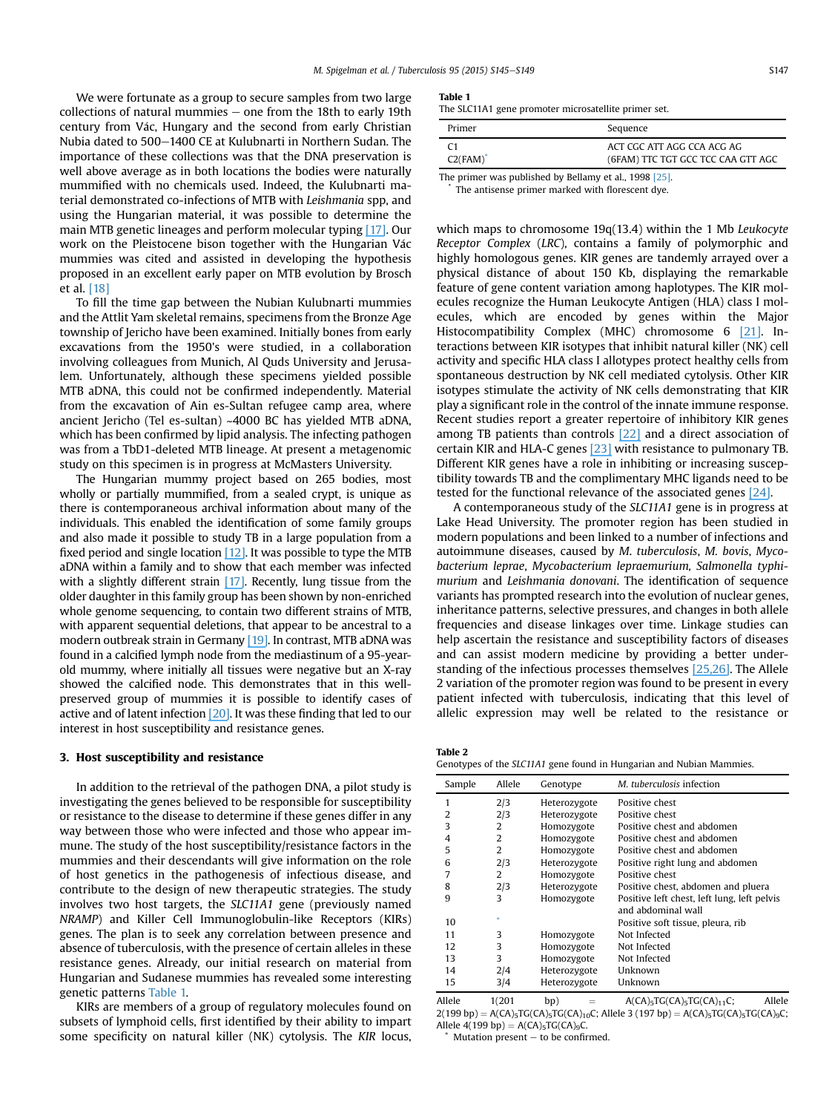We were fortunate as a group to secure samples from two large collections of natural mummies  $-$  one from the 18th to early 19th century from V ac, Hungary and the second from early Christian Nubia dated to 500-1400 CE at Kulubnarti in Northern Sudan. The importance of these collections was that the DNA preservation is well above average as in both locations the bodies were naturally mummified with no chemicals used. Indeed, the Kulubnarti material demonstrated co-infections of MTB with Leishmania spp, and using the Hungarian material, it was possible to determine the main MTB genetic lineages and perform molecular typing [\[17\]](https://www.researchgate.net/publication/10908842_Molecular_analysis_of_Mycobacterium_tuberculosis_DNA_from_a_family_of_18th_century_Hungarians?el=1_x_8&enrichId=rgreq-e9d2ea980cbe235ade05d1c343837470-XXX&enrichSource=Y292ZXJQYWdlOzI3OTQ0MjE5ODtBUzoyNDkxODI3NzQ2MjQyNTlAMTQzNjQyMTIxMTY4NA==). Our work on the Pleistocene bison together with the Hungarian Vác mummies was cited and assisted in developing the hypothesis proposed in an excellent early paper on MTB evolution by Brosch et al. [18]

To fill the time gap between the Nubian Kulubnarti mummies and the Attlit Yam skeletal remains, specimens from the Bronze Age township of Jericho have been examined. Initially bones from early excavations from the 1950's were studied, in a collaboration involving colleagues from Munich, Al Quds University and Jerusalem. Unfortunately, although these specimens yielded possible MTB aDNA, this could not be confirmed independently. Material from the excavation of Ain es-Sultan refugee camp area, where ancient Jericho (Tel es-sultan) ~4000 BC has yielded MTB aDNA, which has been confirmed by lipid analysis. The infecting pathogen was from a TbD1-deleted MTB lineage. At present a metagenomic study on this specimen is in progress at McMasters University.

The Hungarian mummy project based on 265 bodies, most wholly or partially mummified, from a sealed crypt, is unique as there is contemporaneous archival information about many of the individuals. This enabled the identification of some family groups and also made it possible to study TB in a large population from a fixed period and single location  $[12]$ . It was possible to type the MTB aDNA within a family and to show that each member was infected with a slightly different strain [\[17\]](https://www.researchgate.net/publication/10908842_Molecular_analysis_of_Mycobacterium_tuberculosis_DNA_from_a_family_of_18th_century_Hungarians?el=1_x_8&enrichId=rgreq-e9d2ea980cbe235ade05d1c343837470-XXX&enrichSource=Y292ZXJQYWdlOzI3OTQ0MjE5ODtBUzoyNDkxODI3NzQ2MjQyNTlAMTQzNjQyMTIxMTY4NA==). Recently, lung tissue from the older daughter in this family group has been shown by non-enriched whole genome sequencing, to contain two different strains of MTB, with apparent sequential deletions, that appear to be ancestral to a modern outbreak strain in Germany [\[19\]](https://www.researchgate.net/publication/249996235_Metagenomic_Analysis_of_Tuberculosis_in_a_Mummy?el=1_x_8&enrichId=rgreq-e9d2ea980cbe235ade05d1c343837470-XXX&enrichSource=Y292ZXJQYWdlOzI3OTQ0MjE5ODtBUzoyNDkxODI3NzQ2MjQyNTlAMTQzNjQyMTIxMTY4NA==). In contrast, MTB aDNA was found in a calcified lymph node from the mediastinum of a 95-yearold mummy, where initially all tissues were negative but an X-ray showed the calcified node. This demonstrates that in this wellpreserved group of mummies it is possible to identify cases of active and of latent infection [\[20\]](https://www.researchgate.net/publication/232736548_Detection_and_Characterization_of_Mycobacterium_tuberculosis_DNA_in_18th_Century_Hungarians_with_Pulmonary_and_Extra-pulmonary_Tuberculosis?el=1_x_8&enrichId=rgreq-e9d2ea980cbe235ade05d1c343837470-XXX&enrichSource=Y292ZXJQYWdlOzI3OTQ0MjE5ODtBUzoyNDkxODI3NzQ2MjQyNTlAMTQzNjQyMTIxMTY4NA==). It was these finding that led to our interest in host susceptibility and resistance genes.

## 3. Host susceptibility and resistance

In addition to the retrieval of the pathogen DNA, a pilot study is investigating the genes believed to be responsible for susceptibility or resistance to the disease to determine if these genes differ in any way between those who were infected and those who appear immune. The study of the host susceptibility/resistance factors in the mummies and their descendants will give information on the role of host genetics in the pathogenesis of infectious disease, and contribute to the design of new therapeutic strategies. The study involves two host targets, the SLC11A1 gene (previously named NRAMP) and Killer Cell Immunoglobulin-like Receptors (KIRs) genes. The plan is to seek any correlation between presence and absence of tuberculosis, with the presence of certain alleles in these resistance genes. Already, our initial research on material from Hungarian and Sudanese mummies has revealed some interesting genetic patterns Table 1.

KIRs are members of a group of regulatory molecules found on subsets of lymphoid cells, first identified by their ability to impart some specificity on natural killer (NK) cytolysis. The KIR locus,

|--|--|

The SLC11A1 gene promoter microsatellite primer set.

| Primer                                                 | Sequence                                                         |  |  |  |
|--------------------------------------------------------|------------------------------------------------------------------|--|--|--|
| C <sub>1</sub><br>$C2(FAM)^*$                          | ACT CGC ATT AGG CCA ACG AG<br>(6FAM) TTC TGT GCC TCC CAA GTT AGC |  |  |  |
| The primer was published by Bellamy et al., 1998 [25]. |                                                                  |  |  |  |

The antisense primer marked with florescent dye.

which maps to chromosome 19q(13.4) within the 1 Mb Leukocyte Receptor Complex (LRC), contains a family of polymorphic and highly homologous genes. KIR genes are tandemly arrayed over a physical distance of about 150 Kb, displaying the remarkable feature of gene content variation among haplotypes. The KIR molecules recognize the Human Leukocyte Antigen (HLA) class I molecules, which are encoded by genes within the Major Histocompatibility Complex (MHC) chromosome 6 [\[21\]](https://www.researchgate.net/publication/25868593_Major_Histocompatibility_Complex_Class_I-Recognizing_Receptors_Are_Disease_Risk_Genes_in_Rheumatoid_Arthritis?el=1_x_8&enrichId=rgreq-e9d2ea980cbe235ade05d1c343837470-XXX&enrichSource=Y292ZXJQYWdlOzI3OTQ0MjE5ODtBUzoyNDkxODI3NzQ2MjQyNTlAMTQzNjQyMTIxMTY4NA==). Interactions between KIR isotypes that inhibit natural killer (NK) cell activity and specific HLA class I allotypes protect healthy cells from spontaneous destruction by NK cell mediated cytolysis. Other KIR isotypes stimulate the activity of NK cells demonstrating that KIR play a significant role in the control of the innate immune response. Recent studies report a greater repertoire of inhibitory KIR genes among TB patients than controls [\[22\]](https://www.researchgate.net/publication/51835187_Study_of_KIR_genes_in_Lebanese_patients_with_tuberculosis?el=1_x_8&enrichId=rgreq-e9d2ea980cbe235ade05d1c343837470-XXX&enrichSource=Y292ZXJQYWdlOzI3OTQ0MjE5ODtBUzoyNDkxODI3NzQ2MjQyNTlAMTQzNjQyMTIxMTY4NA==) and a direct association of certain KIR and HLA-C genes [\[23\]](https://www.researchgate.net/publication/230629460_Potential_Implication_of_Activating_Killer_Cell_Immunoglobulin-Like_Receptor_and_HLA_in_Onset_of_Pulmonary_Tuberculosis?el=1_x_8&enrichId=rgreq-e9d2ea980cbe235ade05d1c343837470-XXX&enrichSource=Y292ZXJQYWdlOzI3OTQ0MjE5ODtBUzoyNDkxODI3NzQ2MjQyNTlAMTQzNjQyMTIxMTY4NA==) with resistance to pulmonary TB. Different KIR genes have a role in inhibiting or increasing susceptibility towards TB and the complimentary MHC ligands need to be tested for the functional relevance of the associated genes [\[24\]](https://www.researchgate.net/publication/232277682_Killer_Cell_Immunoglobulin_like_Receptor_Gene_Association_with_Tuberculosis?el=1_x_8&enrichId=rgreq-e9d2ea980cbe235ade05d1c343837470-XXX&enrichSource=Y292ZXJQYWdlOzI3OTQ0MjE5ODtBUzoyNDkxODI3NzQ2MjQyNTlAMTQzNjQyMTIxMTY4NA==).

A contemporaneous study of the SLC11A1 gene is in progress at Lake Head University. The promoter region has been studied in modern populations and been linked to a number of infections and autoimmune diseases, caused by M. tuberculosis, M. bovis, Mycobacterium leprae, Mycobacterium lepraemurium, Salmonella typhimurium and Leishmania donovani. The identification of sequence variants has prompted research into the evolution of nuclear genes, inheritance patterns, selective pressures, and changes in both allele frequencies and disease linkages over time. Linkage studies can help ascertain the resistance and susceptibility factors of diseases and can assist modern medicine by providing a better understanding of the infectious processes themselves [\[25,](https://www.researchgate.net/publication/13744663_Variations_in_the_NRAMP1_Gene_and_Susceptibility_to_Tuberculosis_in_West_Africans?el=1_x_8&enrichId=rgreq-e9d2ea980cbe235ade05d1c343837470-XXX&enrichSource=Y292ZXJQYWdlOzI3OTQ0MjE5ODtBUzoyNDkxODI3NzQ2MjQyNTlAMTQzNjQyMTIxMTY4NA==)[26\]](https://www.researchgate.net/publication/13071868_Searle_S_Blackwell_JM_Evidence_for_a_functional-repeat_polymorphism_in_the_promoter_of_human_NRAMP1_gene_that_correlates_with_autoimmune_versus_infectious_disease_susceptibility_J_Med_Gen_36_295-299?el=1_x_8&enrichId=rgreq-e9d2ea980cbe235ade05d1c343837470-XXX&enrichSource=Y292ZXJQYWdlOzI3OTQ0MjE5ODtBUzoyNDkxODI3NzQ2MjQyNTlAMTQzNjQyMTIxMTY4NA==). The Allele 2 variation of the promoter region was found to be present in every patient infected with tuberculosis, indicating that this level of allelic expression may well be related to the resistance or

| Table 2                                                              |
|----------------------------------------------------------------------|
| Genotypes of the SLC11A1 gene found in Hungarian and Nubian Mammies. |

| Sample | Allele | Genotype     | M. tuberculosis infection                   |
|--------|--------|--------------|---------------------------------------------|
| 1      | 2/3    | Heterozygote | Positive chest                              |
| 2      | 2/3    | Heterozygote | Positive chest                              |
| 3      | 2      | Homozygote   | Positive chest and abdomen                  |
| 4      | 2      | Homozygote   | Positive chest and abdomen                  |
| 5      | 2      | Homozygote   | Positive chest and abdomen                  |
| 6      | 2/3    | Heterozygote | Positive right lung and abdomen             |
| 7      | 2      | Homozygote   | Positive chest                              |
| 8      | 2/3    | Heterozygote | Positive chest, abdomen and pluera          |
| 9      | 3      | Homozygote   | Positive left chest, left lung, left pelvis |
|        |        |              | and abdominal wall                          |
| 10     |        |              | Positive soft tissue, pleura, rib           |
| 11     | 3      | Homozygote   | Not Infected                                |
| 12     | 3      | Homozygote   | Not Infected                                |
| 13     | 3      | Homozygote   | Not Infected                                |
| 14     | 2/4    | Heterozygote | Unknown                                     |
| 15     | 3/4    | Heterozygote | Unknown                                     |
|        |        |              |                                             |

Allele  $1(201$  bp) =  $A(CA)_5TG(CA)_{11}C$ ; Allele  $2(199 bp) = A(CA)_{5}TG(CA)_{5}TG(CA)_{10}C$ ; Allele 3 (197 bp) = A(CA)<sub>5</sub>TG(CA)<sub>5</sub>TG(CA)<sub>9</sub>C; Allele 4(199 bp) = A(CA)<sub>5</sub>TG(CA)<sub>9</sub>C,

Mutation present  $-$  to be confirmed.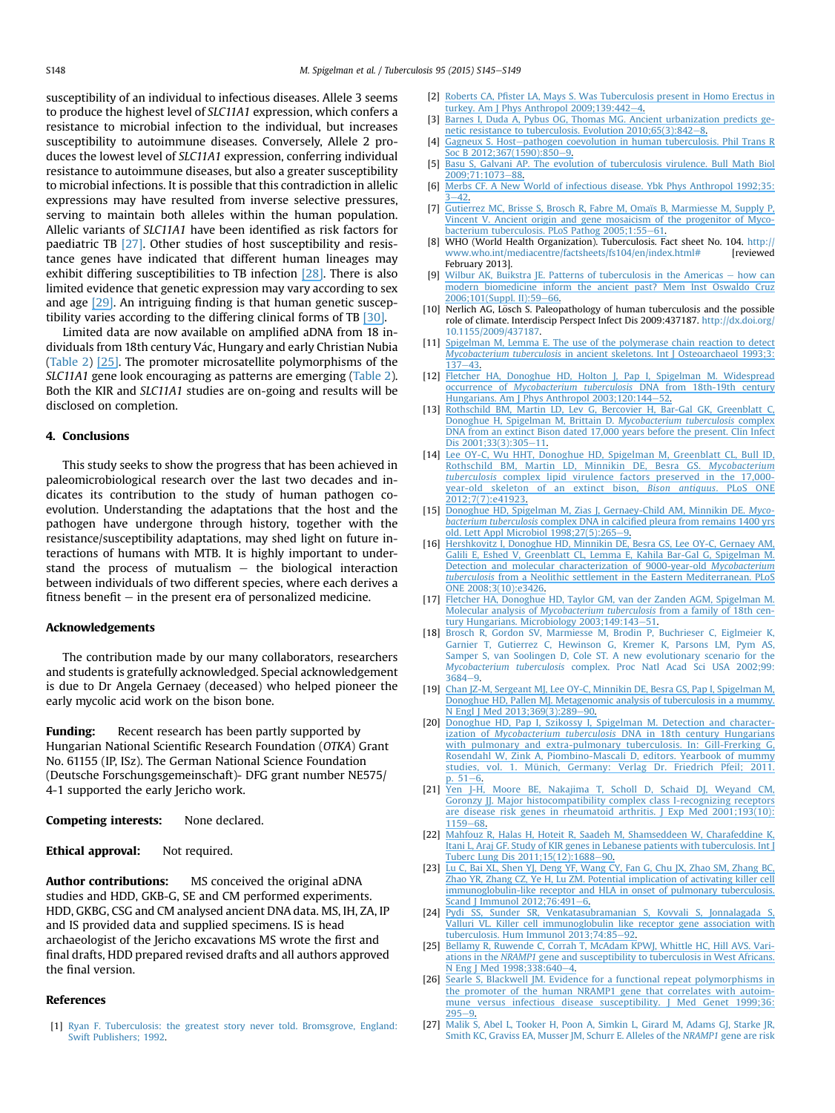susceptibility of an individual to infectious diseases. Allele 3 seems to produce the highest level of SLC11A1 expression, which confers a resistance to microbial infection to the individual, but increases susceptibility to autoimmune diseases. Conversely, Allele 2 produces the lowest level of SLC11A1 expression, conferring individual resistance to autoimmune diseases, but also a greater susceptibility to microbial infections. It is possible that this contradiction in allelic expressions may have resulted from inverse selective pressures, serving to maintain both alleles within the human population. Allelic variants of SLC11A1 have been identified as risk factors for paediatric TB [27]. Other studies of host susceptibility and resistance genes have indicated that different human lineages may exhibit differing susceptibilities to TB infection [\[28\]](https://www.researchgate.net/publication/229556427_Innate_Immune_Gene_Polymorphisms_in_Tuberculosis?el=1_x_8&enrichId=rgreq-e9d2ea980cbe235ade05d1c343837470-XXX&enrichSource=Y292ZXJQYWdlOzI3OTQ0MjE5ODtBUzoyNDkxODI3NzQ2MjQyNTlAMTQzNjQyMTIxMTY4NA==). There is also limited evidence that genetic expression may vary according to sex and age [\[29\]](https://www.researchgate.net/publication/6434975_Sex-_and_age-dependent_association_of_SLC11A1_polymorphisms_with_tuberculosis_in_Chinese_A_case_control_study?el=1_x_8&enrichId=rgreq-e9d2ea980cbe235ade05d1c343837470-XXX&enrichSource=Y292ZXJQYWdlOzI3OTQ0MjE5ODtBUzoyNDkxODI3NzQ2MjQyNTlAMTQzNjQyMTIxMTY4NA==). An intriguing finding is that human genetic susceptibility varies according to the differing clinical forms of TB [\[30\]](https://www.researchgate.net/publication/41621450_Genetic_susceptibility_to_different_clinical_forms_of_tuberculosis_in_the_Peruvian_population?el=1_x_8&enrichId=rgreq-e9d2ea980cbe235ade05d1c343837470-XXX&enrichSource=Y292ZXJQYWdlOzI3OTQ0MjE5ODtBUzoyNDkxODI3NzQ2MjQyNTlAMTQzNjQyMTIxMTY4NA==).

Limited data are now available on amplified aDNA from 18 individuals from 18th century Vác, Hungary and early Christian Nubia (Table 2) [\[25\]](https://www.researchgate.net/publication/13744663_Variations_in_the_NRAMP1_Gene_and_Susceptibility_to_Tuberculosis_in_West_Africans?el=1_x_8&enrichId=rgreq-e9d2ea980cbe235ade05d1c343837470-XXX&enrichSource=Y292ZXJQYWdlOzI3OTQ0MjE5ODtBUzoyNDkxODI3NzQ2MjQyNTlAMTQzNjQyMTIxMTY4NA==). The promoter microsatellite polymorphisms of the SLC11A1 gene look encouraging as patterns are emerging (Table 2). Both the KIR and SLC11A1 studies are on-going and results will be disclosed on completion.

#### 4. Conclusions

This study seeks to show the progress that has been achieved in paleomicrobiological research over the last two decades and indicates its contribution to the study of human pathogen coevolution. Understanding the adaptations that the host and the pathogen have undergone through history, together with the resistance/susceptibility adaptations, may shed light on future interactions of humans with MTB. It is highly important to understand the process of mutualism  $-$  the biological interaction between individuals of two different species, where each derives a fitness benefit  $-$  in the present era of personalized medicine.

#### Acknowledgements

The contribution made by our many collaborators, researchers and students is gratefully acknowledged. Special acknowledgement is due to Dr Angela Gernaey (deceased) who helped pioneer the early mycolic acid work on the bison bone.

**Funding:** Recent research has been partly supported by Hungarian National Scientific Research Foundation (OTKA) Grant No. 61155 (IP, ISz). The German National Science Foundation (Deutsche Forschungsgemeinschaft)- DFG grant number NE575/ 4-1 supported the early Jericho work.

Competing interests: None declared.

Ethical approval: Not required.

Author contributions: MS conceived the original aDNA studies and HDD, GKB-G, SE and CM performed experiments. HDD, GKBG, CSG and CM analysed ancient DNA data. MS, IH, ZA, IP and IS provided data and supplied specimens. IS is head archaeologist of the Jericho excavations MS wrote the first and final drafts, HDD prepared revised drafts and all authors approved the final version.

#### References

[1] [Ryan F. Tuberculosis: the greatest story never told. Bromsgrove, England:](http://refhub.elsevier.com/S1472-9792(15)00023-2/sref1) [Swift Publishers; 1992](http://refhub.elsevier.com/S1472-9792(15)00023-2/sref1).

- [2] Roberts CA, Pfi[ster LA, Mays S. Was Tuberculosis present in Homo Erectus in](http://refhub.elsevier.com/S1472-9792(15)00023-2/sref2) [turkey. Am J Phys Anthropol 2009;139:442](http://refhub.elsevier.com/S1472-9792(15)00023-2/sref2)-[4.](http://refhub.elsevier.com/S1472-9792(15)00023-2/sref2)
- [3] [Barnes I, Duda A, Pybus OG, Thomas MG. Ancient urbanization predicts ge](http://refhub.elsevier.com/S1472-9792(15)00023-2/sref3)netic resistance to tuberculosis. Evolution  $2010;65(3):842-8$  $2010;65(3):842-8$  $2010;65(3):842-8$ .
- [4] [Gagneux S. Host](http://refhub.elsevier.com/S1472-9792(15)00023-2/sref4)-[pathogen coevolution in human tuberculosis. Phil Trans R](http://refhub.elsevier.com/S1472-9792(15)00023-2/sref4) Soc B 2012:367(1590):850-[9.](http://refhub.elsevier.com/S1472-9792(15)00023-2/sref4)
- [5] [Basu S, Galvani AP. The evolution of tuberculosis virulence. Bull Math Biol](http://refhub.elsevier.com/S1472-9792(15)00023-2/sref5) 2009:71:1073-[88.](http://refhub.elsevier.com/S1472-9792(15)00023-2/sref5)
- [6] [Merbs](https://www.researchgate.net/publication/229577219_A_New_World_of_Infectious_Disease?el=1_x_8&enrichId=rgreq-e9d2ea980cbe235ade05d1c343837470-XXX&enrichSource=Y292ZXJQYWdlOzI3OTQ0MjE5ODtBUzoyNDkxODI3NzQ2MjQyNTlAMTQzNjQyMTIxMTY4NA==)[CF.](https://www.researchgate.net/publication/229577219_A_New_World_of_Infectious_Disease?el=1_x_8&enrichId=rgreq-e9d2ea980cbe235ade05d1c343837470-XXX&enrichSource=Y292ZXJQYWdlOzI3OTQ0MjE5ODtBUzoyNDkxODI3NzQ2MjQyNTlAMTQzNjQyMTIxMTY4NA==)[A](https://www.researchgate.net/publication/229577219_A_New_World_of_Infectious_Disease?el=1_x_8&enrichId=rgreq-e9d2ea980cbe235ade05d1c343837470-XXX&enrichSource=Y292ZXJQYWdlOzI3OTQ0MjE5ODtBUzoyNDkxODI3NzQ2MjQyNTlAMTQzNjQyMTIxMTY4NA==)[New](https://www.researchgate.net/publication/229577219_A_New_World_of_Infectious_Disease?el=1_x_8&enrichId=rgreq-e9d2ea980cbe235ade05d1c343837470-XXX&enrichSource=Y292ZXJQYWdlOzI3OTQ0MjE5ODtBUzoyNDkxODI3NzQ2MjQyNTlAMTQzNjQyMTIxMTY4NA==)[World](https://www.researchgate.net/publication/229577219_A_New_World_of_Infectious_Disease?el=1_x_8&enrichId=rgreq-e9d2ea980cbe235ade05d1c343837470-XXX&enrichSource=Y292ZXJQYWdlOzI3OTQ0MjE5ODtBUzoyNDkxODI3NzQ2MjQyNTlAMTQzNjQyMTIxMTY4NA==)[of](https://www.researchgate.net/publication/229577219_A_New_World_of_Infectious_Disease?el=1_x_8&enrichId=rgreq-e9d2ea980cbe235ade05d1c343837470-XXX&enrichSource=Y292ZXJQYWdlOzI3OTQ0MjE5ODtBUzoyNDkxODI3NzQ2MjQyNTlAMTQzNjQyMTIxMTY4NA==)[infectious](https://www.researchgate.net/publication/229577219_A_New_World_of_Infectious_Disease?el=1_x_8&enrichId=rgreq-e9d2ea980cbe235ade05d1c343837470-XXX&enrichSource=Y292ZXJQYWdlOzI3OTQ0MjE5ODtBUzoyNDkxODI3NzQ2MjQyNTlAMTQzNjQyMTIxMTY4NA==)[disease.](https://www.researchgate.net/publication/229577219_A_New_World_of_Infectious_Disease?el=1_x_8&enrichId=rgreq-e9d2ea980cbe235ade05d1c343837470-XXX&enrichSource=Y292ZXJQYWdlOzI3OTQ0MjE5ODtBUzoyNDkxODI3NzQ2MjQyNTlAMTQzNjQyMTIxMTY4NA==)[Ybk](https://www.researchgate.net/publication/229577219_A_New_World_of_Infectious_Disease?el=1_x_8&enrichId=rgreq-e9d2ea980cbe235ade05d1c343837470-XXX&enrichSource=Y292ZXJQYWdlOzI3OTQ0MjE5ODtBUzoyNDkxODI3NzQ2MjQyNTlAMTQzNjQyMTIxMTY4NA==)[Phys](https://www.researchgate.net/publication/229577219_A_New_World_of_Infectious_Disease?el=1_x_8&enrichId=rgreq-e9d2ea980cbe235ade05d1c343837470-XXX&enrichSource=Y292ZXJQYWdlOzI3OTQ0MjE5ODtBUzoyNDkxODI3NzQ2MjQyNTlAMTQzNjQyMTIxMTY4NA==)[Anthropol](https://www.researchgate.net/publication/229577219_A_New_World_of_Infectious_Disease?el=1_x_8&enrichId=rgreq-e9d2ea980cbe235ade05d1c343837470-XXX&enrichSource=Y292ZXJQYWdlOzI3OTQ0MjE5ODtBUzoyNDkxODI3NzQ2MjQyNTlAMTQzNjQyMTIxMTY4NA==)[1992;35:](https://www.researchgate.net/publication/229577219_A_New_World_of_Infectious_Disease?el=1_x_8&enrichId=rgreq-e9d2ea980cbe235ade05d1c343837470-XXX&enrichSource=Y292ZXJQYWdlOzI3OTQ0MjE5ODtBUzoyNDkxODI3NzQ2MjQyNTlAMTQzNjQyMTIxMTY4NA==)  $3 - 42$  $3 - 42$
- [7] [Gutierrez](https://www.researchgate.net/publication/7564218_Gutierrez_M_C_et_al_Ancient_origin_and_gene_mosaicism_of_the_progenitor_of_Mycobacterium_tuberculosis_PLoS_Pathogens_1_e5?el=1_x_8&enrichId=rgreq-e9d2ea980cbe235ade05d1c343837470-XXX&enrichSource=Y292ZXJQYWdlOzI3OTQ0MjE5ODtBUzoyNDkxODI3NzQ2MjQyNTlAMTQzNjQyMTIxMTY4NA==)[MC,](https://www.researchgate.net/publication/7564218_Gutierrez_M_C_et_al_Ancient_origin_and_gene_mosaicism_of_the_progenitor_of_Mycobacterium_tuberculosis_PLoS_Pathogens_1_e5?el=1_x_8&enrichId=rgreq-e9d2ea980cbe235ade05d1c343837470-XXX&enrichSource=Y292ZXJQYWdlOzI3OTQ0MjE5ODtBUzoyNDkxODI3NzQ2MjQyNTlAMTQzNjQyMTIxMTY4NA==)[Brisse](https://www.researchgate.net/publication/7564218_Gutierrez_M_C_et_al_Ancient_origin_and_gene_mosaicism_of_the_progenitor_of_Mycobacterium_tuberculosis_PLoS_Pathogens_1_e5?el=1_x_8&enrichId=rgreq-e9d2ea980cbe235ade05d1c343837470-XXX&enrichSource=Y292ZXJQYWdlOzI3OTQ0MjE5ODtBUzoyNDkxODI3NzQ2MjQyNTlAMTQzNjQyMTIxMTY4NA==)[S,](https://www.researchgate.net/publication/7564218_Gutierrez_M_C_et_al_Ancient_origin_and_gene_mosaicism_of_the_progenitor_of_Mycobacterium_tuberculosis_PLoS_Pathogens_1_e5?el=1_x_8&enrichId=rgreq-e9d2ea980cbe235ade05d1c343837470-XXX&enrichSource=Y292ZXJQYWdlOzI3OTQ0MjE5ODtBUzoyNDkxODI3NzQ2MjQyNTlAMTQzNjQyMTIxMTY4NA==)[Brosch](https://www.researchgate.net/publication/7564218_Gutierrez_M_C_et_al_Ancient_origin_and_gene_mosaicism_of_the_progenitor_of_Mycobacterium_tuberculosis_PLoS_Pathogens_1_e5?el=1_x_8&enrichId=rgreq-e9d2ea980cbe235ade05d1c343837470-XXX&enrichSource=Y292ZXJQYWdlOzI3OTQ0MjE5ODtBUzoyNDkxODI3NzQ2MjQyNTlAMTQzNjQyMTIxMTY4NA==)[R,](https://www.researchgate.net/publication/7564218_Gutierrez_M_C_et_al_Ancient_origin_and_gene_mosaicism_of_the_progenitor_of_Mycobacterium_tuberculosis_PLoS_Pathogens_1_e5?el=1_x_8&enrichId=rgreq-e9d2ea980cbe235ade05d1c343837470-XXX&enrichSource=Y292ZXJQYWdlOzI3OTQ0MjE5ODtBUzoyNDkxODI3NzQ2MjQyNTlAMTQzNjQyMTIxMTY4NA==)[Fabre](https://www.researchgate.net/publication/7564218_Gutierrez_M_C_et_al_Ancient_origin_and_gene_mosaicism_of_the_progenitor_of_Mycobacterium_tuberculosis_PLoS_Pathogens_1_e5?el=1_x_8&enrichId=rgreq-e9d2ea980cbe235ade05d1c343837470-XXX&enrichSource=Y292ZXJQYWdlOzI3OTQ0MjE5ODtBUzoyNDkxODI3NzQ2MjQyNTlAMTQzNjQyMTIxMTY4NA==)[M,](https://www.researchgate.net/publication/7564218_Gutierrez_M_C_et_al_Ancient_origin_and_gene_mosaicism_of_the_progenitor_of_Mycobacterium_tuberculosis_PLoS_Pathogens_1_e5?el=1_x_8&enrichId=rgreq-e9d2ea980cbe235ade05d1c343837470-XXX&enrichSource=Y292ZXJQYWdlOzI3OTQ0MjE5ODtBUzoyNDkxODI3NzQ2MjQyNTlAMTQzNjQyMTIxMTY4NA==)[Omaïs](https://www.researchgate.net/publication/7564218_Gutierrez_M_C_et_al_Ancient_origin_and_gene_mosaicism_of_the_progenitor_of_Mycobacterium_tuberculosis_PLoS_Pathogens_1_e5?el=1_x_8&enrichId=rgreq-e9d2ea980cbe235ade05d1c343837470-XXX&enrichSource=Y292ZXJQYWdlOzI3OTQ0MjE5ODtBUzoyNDkxODI3NzQ2MjQyNTlAMTQzNjQyMTIxMTY4NA==)[B,](https://www.researchgate.net/publication/7564218_Gutierrez_M_C_et_al_Ancient_origin_and_gene_mosaicism_of_the_progenitor_of_Mycobacterium_tuberculosis_PLoS_Pathogens_1_e5?el=1_x_8&enrichId=rgreq-e9d2ea980cbe235ade05d1c343837470-XXX&enrichSource=Y292ZXJQYWdlOzI3OTQ0MjE5ODtBUzoyNDkxODI3NzQ2MjQyNTlAMTQzNjQyMTIxMTY4NA==)[Marmiesse](https://www.researchgate.net/publication/7564218_Gutierrez_M_C_et_al_Ancient_origin_and_gene_mosaicism_of_the_progenitor_of_Mycobacterium_tuberculosis_PLoS_Pathogens_1_e5?el=1_x_8&enrichId=rgreq-e9d2ea980cbe235ade05d1c343837470-XXX&enrichSource=Y292ZXJQYWdlOzI3OTQ0MjE5ODtBUzoyNDkxODI3NzQ2MjQyNTlAMTQzNjQyMTIxMTY4NA==)[M,](https://www.researchgate.net/publication/7564218_Gutierrez_M_C_et_al_Ancient_origin_and_gene_mosaicism_of_the_progenitor_of_Mycobacterium_tuberculosis_PLoS_Pathogens_1_e5?el=1_x_8&enrichId=rgreq-e9d2ea980cbe235ade05d1c343837470-XXX&enrichSource=Y292ZXJQYWdlOzI3OTQ0MjE5ODtBUzoyNDkxODI3NzQ2MjQyNTlAMTQzNjQyMTIxMTY4NA==)[Supply](https://www.researchgate.net/publication/7564218_Gutierrez_M_C_et_al_Ancient_origin_and_gene_mosaicism_of_the_progenitor_of_Mycobacterium_tuberculosis_PLoS_Pathogens_1_e5?el=1_x_8&enrichId=rgreq-e9d2ea980cbe235ade05d1c343837470-XXX&enrichSource=Y292ZXJQYWdlOzI3OTQ0MjE5ODtBUzoyNDkxODI3NzQ2MjQyNTlAMTQzNjQyMTIxMTY4NA==)[P,](https://www.researchgate.net/publication/7564218_Gutierrez_M_C_et_al_Ancient_origin_and_gene_mosaicism_of_the_progenitor_of_Mycobacterium_tuberculosis_PLoS_Pathogens_1_e5?el=1_x_8&enrichId=rgreq-e9d2ea980cbe235ade05d1c343837470-XXX&enrichSource=Y292ZXJQYWdlOzI3OTQ0MjE5ODtBUzoyNDkxODI3NzQ2MjQyNTlAMTQzNjQyMTIxMTY4NA==) [Vincent](https://www.researchgate.net/publication/7564218_Gutierrez_M_C_et_al_Ancient_origin_and_gene_mosaicism_of_the_progenitor_of_Mycobacterium_tuberculosis_PLoS_Pathogens_1_e5?el=1_x_8&enrichId=rgreq-e9d2ea980cbe235ade05d1c343837470-XXX&enrichSource=Y292ZXJQYWdlOzI3OTQ0MjE5ODtBUzoyNDkxODI3NzQ2MjQyNTlAMTQzNjQyMTIxMTY4NA==)[V.](https://www.researchgate.net/publication/7564218_Gutierrez_M_C_et_al_Ancient_origin_and_gene_mosaicism_of_the_progenitor_of_Mycobacterium_tuberculosis_PLoS_Pathogens_1_e5?el=1_x_8&enrichId=rgreq-e9d2ea980cbe235ade05d1c343837470-XXX&enrichSource=Y292ZXJQYWdlOzI3OTQ0MjE5ODtBUzoyNDkxODI3NzQ2MjQyNTlAMTQzNjQyMTIxMTY4NA==)[Ancient](https://www.researchgate.net/publication/7564218_Gutierrez_M_C_et_al_Ancient_origin_and_gene_mosaicism_of_the_progenitor_of_Mycobacterium_tuberculosis_PLoS_Pathogens_1_e5?el=1_x_8&enrichId=rgreq-e9d2ea980cbe235ade05d1c343837470-XXX&enrichSource=Y292ZXJQYWdlOzI3OTQ0MjE5ODtBUzoyNDkxODI3NzQ2MjQyNTlAMTQzNjQyMTIxMTY4NA==)[origin](https://www.researchgate.net/publication/7564218_Gutierrez_M_C_et_al_Ancient_origin_and_gene_mosaicism_of_the_progenitor_of_Mycobacterium_tuberculosis_PLoS_Pathogens_1_e5?el=1_x_8&enrichId=rgreq-e9d2ea980cbe235ade05d1c343837470-XXX&enrichSource=Y292ZXJQYWdlOzI3OTQ0MjE5ODtBUzoyNDkxODI3NzQ2MjQyNTlAMTQzNjQyMTIxMTY4NA==)[and](https://www.researchgate.net/publication/7564218_Gutierrez_M_C_et_al_Ancient_origin_and_gene_mosaicism_of_the_progenitor_of_Mycobacterium_tuberculosis_PLoS_Pathogens_1_e5?el=1_x_8&enrichId=rgreq-e9d2ea980cbe235ade05d1c343837470-XXX&enrichSource=Y292ZXJQYWdlOzI3OTQ0MjE5ODtBUzoyNDkxODI3NzQ2MjQyNTlAMTQzNjQyMTIxMTY4NA==)[gene](https://www.researchgate.net/publication/7564218_Gutierrez_M_C_et_al_Ancient_origin_and_gene_mosaicism_of_the_progenitor_of_Mycobacterium_tuberculosis_PLoS_Pathogens_1_e5?el=1_x_8&enrichId=rgreq-e9d2ea980cbe235ade05d1c343837470-XXX&enrichSource=Y292ZXJQYWdlOzI3OTQ0MjE5ODtBUzoyNDkxODI3NzQ2MjQyNTlAMTQzNjQyMTIxMTY4NA==)[mosaicism](https://www.researchgate.net/publication/7564218_Gutierrez_M_C_et_al_Ancient_origin_and_gene_mosaicism_of_the_progenitor_of_Mycobacterium_tuberculosis_PLoS_Pathogens_1_e5?el=1_x_8&enrichId=rgreq-e9d2ea980cbe235ade05d1c343837470-XXX&enrichSource=Y292ZXJQYWdlOzI3OTQ0MjE5ODtBUzoyNDkxODI3NzQ2MjQyNTlAMTQzNjQyMTIxMTY4NA==)[of](https://www.researchgate.net/publication/7564218_Gutierrez_M_C_et_al_Ancient_origin_and_gene_mosaicism_of_the_progenitor_of_Mycobacterium_tuberculosis_PLoS_Pathogens_1_e5?el=1_x_8&enrichId=rgreq-e9d2ea980cbe235ade05d1c343837470-XXX&enrichSource=Y292ZXJQYWdlOzI3OTQ0MjE5ODtBUzoyNDkxODI3NzQ2MjQyNTlAMTQzNjQyMTIxMTY4NA==)[the](https://www.researchgate.net/publication/7564218_Gutierrez_M_C_et_al_Ancient_origin_and_gene_mosaicism_of_the_progenitor_of_Mycobacterium_tuberculosis_PLoS_Pathogens_1_e5?el=1_x_8&enrichId=rgreq-e9d2ea980cbe235ade05d1c343837470-XXX&enrichSource=Y292ZXJQYWdlOzI3OTQ0MjE5ODtBUzoyNDkxODI3NzQ2MjQyNTlAMTQzNjQyMTIxMTY4NA==)[progenitor](https://www.researchgate.net/publication/7564218_Gutierrez_M_C_et_al_Ancient_origin_and_gene_mosaicism_of_the_progenitor_of_Mycobacterium_tuberculosis_PLoS_Pathogens_1_e5?el=1_x_8&enrichId=rgreq-e9d2ea980cbe235ade05d1c343837470-XXX&enrichSource=Y292ZXJQYWdlOzI3OTQ0MjE5ODtBUzoyNDkxODI3NzQ2MjQyNTlAMTQzNjQyMTIxMTY4NA==)[of](https://www.researchgate.net/publication/7564218_Gutierrez_M_C_et_al_Ancient_origin_and_gene_mosaicism_of_the_progenitor_of_Mycobacterium_tuberculosis_PLoS_Pathogens_1_e5?el=1_x_8&enrichId=rgreq-e9d2ea980cbe235ade05d1c343837470-XXX&enrichSource=Y292ZXJQYWdlOzI3OTQ0MjE5ODtBUzoyNDkxODI3NzQ2MjQyNTlAMTQzNjQyMTIxMTY4NA==)[Myco](https://www.researchgate.net/publication/7564218_Gutierrez_M_C_et_al_Ancient_origin_and_gene_mosaicism_of_the_progenitor_of_Mycobacterium_tuberculosis_PLoS_Pathogens_1_e5?el=1_x_8&enrichId=rgreq-e9d2ea980cbe235ade05d1c343837470-XXX&enrichSource=Y292ZXJQYWdlOzI3OTQ0MjE5ODtBUzoyNDkxODI3NzQ2MjQyNTlAMTQzNjQyMTIxMTY4NA==)[bacterium](https://www.researchgate.net/publication/7564218_Gutierrez_M_C_et_al_Ancient_origin_and_gene_mosaicism_of_the_progenitor_of_Mycobacterium_tuberculosis_PLoS_Pathogens_1_e5?el=1_x_8&enrichId=rgreq-e9d2ea980cbe235ade05d1c343837470-XXX&enrichSource=Y292ZXJQYWdlOzI3OTQ0MjE5ODtBUzoyNDkxODI3NzQ2MjQyNTlAMTQzNjQyMTIxMTY4NA==)[tuberculosis.](https://www.researchgate.net/publication/7564218_Gutierrez_M_C_et_al_Ancient_origin_and_gene_mosaicism_of_the_progenitor_of_Mycobacterium_tuberculosis_PLoS_Pathogens_1_e5?el=1_x_8&enrichId=rgreq-e9d2ea980cbe235ade05d1c343837470-XXX&enrichSource=Y292ZXJQYWdlOzI3OTQ0MjE5ODtBUzoyNDkxODI3NzQ2MjQyNTlAMTQzNjQyMTIxMTY4NA==) [PLoS](https://www.researchgate.net/publication/7564218_Gutierrez_M_C_et_al_Ancient_origin_and_gene_mosaicism_of_the_progenitor_of_Mycobacterium_tuberculosis_PLoS_Pathogens_1_e5?el=1_x_8&enrichId=rgreq-e9d2ea980cbe235ade05d1c343837470-XXX&enrichSource=Y292ZXJQYWdlOzI3OTQ0MjE5ODtBUzoyNDkxODI3NzQ2MjQyNTlAMTQzNjQyMTIxMTY4NA==) [Pathog](https://www.researchgate.net/publication/7564218_Gutierrez_M_C_et_al_Ancient_origin_and_gene_mosaicism_of_the_progenitor_of_Mycobacterium_tuberculosis_PLoS_Pathogens_1_e5?el=1_x_8&enrichId=rgreq-e9d2ea980cbe235ade05d1c343837470-XXX&enrichSource=Y292ZXJQYWdlOzI3OTQ0MjE5ODtBUzoyNDkxODI3NzQ2MjQyNTlAMTQzNjQyMTIxMTY4NA==) [2005;1:55](https://www.researchgate.net/publication/7564218_Gutierrez_M_C_et_al_Ancient_origin_and_gene_mosaicism_of_the_progenitor_of_Mycobacterium_tuberculosis_PLoS_Pathogens_1_e5?el=1_x_8&enrichId=rgreq-e9d2ea980cbe235ade05d1c343837470-XXX&enrichSource=Y292ZXJQYWdlOzI3OTQ0MjE5ODtBUzoyNDkxODI3NzQ2MjQyNTlAMTQzNjQyMTIxMTY4NA==)-[61](http://refhub.elsevier.com/S1472-9792(15)00023-2/sref7).
- [8] WHO (World Health Organization). Tuberculosis. Fact sheet No. 104. [http://](http://www.who.int/mediacentre/factsheets/fs104/en/index.html#) [www.who.int/mediacentre/factsheets/fs104/en/index.html#](http://www.who.int/mediacentre/factsheets/fs104/en/index.html#) [reviewed February 2013].
- [9] [Wilbur](https://www.researchgate.net/publication/6496451_Patterns_of_tuberculosis_in_the_Americas-How_can_modern_biomedicine_inform_the_ancient_past_Mem_Inst_Oswaldo_Cruz_101Suppl_II59-66?el=1_x_8&enrichId=rgreq-e9d2ea980cbe235ade05d1c343837470-XXX&enrichSource=Y292ZXJQYWdlOzI3OTQ0MjE5ODtBUzoyNDkxODI3NzQ2MjQyNTlAMTQzNjQyMTIxMTY4NA==)[AK,](https://www.researchgate.net/publication/6496451_Patterns_of_tuberculosis_in_the_Americas-How_can_modern_biomedicine_inform_the_ancient_past_Mem_Inst_Oswaldo_Cruz_101Suppl_II59-66?el=1_x_8&enrichId=rgreq-e9d2ea980cbe235ade05d1c343837470-XXX&enrichSource=Y292ZXJQYWdlOzI3OTQ0MjE5ODtBUzoyNDkxODI3NzQ2MjQyNTlAMTQzNjQyMTIxMTY4NA==) [Buikstra](https://www.researchgate.net/publication/6496451_Patterns_of_tuberculosis_in_the_Americas-How_can_modern_biomedicine_inform_the_ancient_past_Mem_Inst_Oswaldo_Cruz_101Suppl_II59-66?el=1_x_8&enrichId=rgreq-e9d2ea980cbe235ade05d1c343837470-XXX&enrichSource=Y292ZXJQYWdlOzI3OTQ0MjE5ODtBUzoyNDkxODI3NzQ2MjQyNTlAMTQzNjQyMTIxMTY4NA==) [JE.](https://www.researchgate.net/publication/6496451_Patterns_of_tuberculosis_in_the_Americas-How_can_modern_biomedicine_inform_the_ancient_past_Mem_Inst_Oswaldo_Cruz_101Suppl_II59-66?el=1_x_8&enrichId=rgreq-e9d2ea980cbe235ade05d1c343837470-XXX&enrichSource=Y292ZXJQYWdlOzI3OTQ0MjE5ODtBUzoyNDkxODI3NzQ2MjQyNTlAMTQzNjQyMTIxMTY4NA==) [Patterns](https://www.researchgate.net/publication/6496451_Patterns_of_tuberculosis_in_the_Americas-How_can_modern_biomedicine_inform_the_ancient_past_Mem_Inst_Oswaldo_Cruz_101Suppl_II59-66?el=1_x_8&enrichId=rgreq-e9d2ea980cbe235ade05d1c343837470-XXX&enrichSource=Y292ZXJQYWdlOzI3OTQ0MjE5ODtBUzoyNDkxODI3NzQ2MjQyNTlAMTQzNjQyMTIxMTY4NA==) [of](https://www.researchgate.net/publication/6496451_Patterns_of_tuberculosis_in_the_Americas-How_can_modern_biomedicine_inform_the_ancient_past_Mem_Inst_Oswaldo_Cruz_101Suppl_II59-66?el=1_x_8&enrichId=rgreq-e9d2ea980cbe235ade05d1c343837470-XXX&enrichSource=Y292ZXJQYWdlOzI3OTQ0MjE5ODtBUzoyNDkxODI3NzQ2MjQyNTlAMTQzNjQyMTIxMTY4NA==) [tuberculosis](https://www.researchgate.net/publication/6496451_Patterns_of_tuberculosis_in_the_Americas-How_can_modern_biomedicine_inform_the_ancient_past_Mem_Inst_Oswaldo_Cruz_101Suppl_II59-66?el=1_x_8&enrichId=rgreq-e9d2ea980cbe235ade05d1c343837470-XXX&enrichSource=Y292ZXJQYWdlOzI3OTQ0MjE5ODtBUzoyNDkxODI3NzQ2MjQyNTlAMTQzNjQyMTIxMTY4NA==) [in](https://www.researchgate.net/publication/6496451_Patterns_of_tuberculosis_in_the_Americas-How_can_modern_biomedicine_inform_the_ancient_past_Mem_Inst_Oswaldo_Cruz_101Suppl_II59-66?el=1_x_8&enrichId=rgreq-e9d2ea980cbe235ade05d1c343837470-XXX&enrichSource=Y292ZXJQYWdlOzI3OTQ0MjE5ODtBUzoyNDkxODI3NzQ2MjQyNTlAMTQzNjQyMTIxMTY4NA==) [the](https://www.researchgate.net/publication/6496451_Patterns_of_tuberculosis_in_the_Americas-How_can_modern_biomedicine_inform_the_ancient_past_Mem_Inst_Oswaldo_Cruz_101Suppl_II59-66?el=1_x_8&enrichId=rgreq-e9d2ea980cbe235ade05d1c343837470-XXX&enrichSource=Y292ZXJQYWdlOzI3OTQ0MjE5ODtBUzoyNDkxODI3NzQ2MjQyNTlAMTQzNjQyMTIxMTY4NA==) [Americas](https://www.researchgate.net/publication/6496451_Patterns_of_tuberculosis_in_the_Americas-How_can_modern_biomedicine_inform_the_ancient_past_Mem_Inst_Oswaldo_Cruz_101Suppl_II59-66?el=1_x_8&enrichId=rgreq-e9d2ea980cbe235ade05d1c343837470-XXX&enrichSource=Y292ZXJQYWdlOzI3OTQ0MjE5ODtBUzoyNDkxODI3NzQ2MjQyNTlAMTQzNjQyMTIxMTY4NA==)  $-$  [how can](http://refhub.elsevier.com/S1472-9792(15)00023-2/sref8) [modern biomedicine inform the ancient past? Mem Inst Oswaldo Cruz](http://refhub.elsevier.com/S1472-9792(15)00023-2/sref8)  $2006:101(Sumb)$  II):5[9](https://www.researchgate.net/publication/6496451_Patterns_of_tuberculosis_in_the_Americas-How_can_modern_biomedicine_inform_the_ancient_past_Mem_Inst_Oswaldo_Cruz_101Suppl_II59-66?el=1_x_8&enrichId=rgreq-e9d2ea980cbe235ade05d1c343837470-XXX&enrichSource=Y292ZXJQYWdlOzI3OTQ0MjE5ODtBUzoyNDkxODI3NzQ2MjQyNTlAMTQzNjQyMTIxMTY4NA==)-66
- [10] Nerlich AG, Lösch S. Paleopathology of human tuberculosis and the possible role of climate. Interdiscip Perspect Infect Dis 2009:437187. [http://dx.doi.org/](http://dx.doi.org/10.1155/2009/437187) [10.1155/2009/437187.](http://dx.doi.org/10.1155/2009/437187)
- [11] [Spigelman M, Lemma E. The use of the polymerase chain reaction to detect](http://refhub.elsevier.com/S1472-9792(15)00023-2/sref10) Mycobacterium tuberculosis [in ancient skeletons. Int J Osteoarchaeol 1993;3:](http://refhub.elsevier.com/S1472-9792(15)00023-2/sref10) [13](http://refhub.elsevier.com/S1472-9792(15)00023-2/sref10)[7](https://www.researchgate.net/publication/229883685_The_Use_of_Polymerase_Chain_Reaction_to_Detect_Mycobacterium_tuberculosis_in_Ancient_Skeletons?el=1_x_8&enrichId=rgreq-e9d2ea980cbe235ade05d1c343837470-XXX&enrichSource=Y292ZXJQYWdlOzI3OTQ0MjE5ODtBUzoyNDkxODI3NzQ2MjQyNTlAMTQzNjQyMTIxMTY4NA==)-[43](http://refhub.elsevier.com/S1472-9792(15)00023-2/sref10)
- [12] [Fletcher HA, Donoghue HD, Holton J, Pap I, Spigelman M. Widespread](http://refhub.elsevier.com/S1472-9792(15)00023-2/sref11) occurrence of Mycobacterium tuberculosis [DNA from 18th-19th century](http://refhub.elsevier.com/S1472-9792(15)00023-2/sref11) Hungarians. Am J Phys Anthropol 2003:120:1[4](https://www.researchgate.net/publication/32885199_Widespread_occurrence_of_Mycobacterium_tuberculosis_DNA_from_18th-19th_century_Hungarians?el=1_x_8&enrichId=rgreq-e9d2ea980cbe235ade05d1c343837470-XXX&enrichSource=Y292ZXJQYWdlOzI3OTQ0MjE5ODtBUzoyNDkxODI3NzQ2MjQyNTlAMTQzNjQyMTIxMTY4NA==)4-[52.](http://refhub.elsevier.com/S1472-9792(15)00023-2/sref11)
- [13] [Rothschild BM, Martin LD, Lev G, Bercovier H, Bar-Gal GK, Greenblatt C,](http://refhub.elsevier.com/S1472-9792(15)00023-2/sref12) [Donoghue H, Spigelman M, Brittain D.](http://refhub.elsevier.com/S1472-9792(15)00023-2/sref12) Mycobacterium tuberculosis complex [DNA from an extinct Bison dated 17,000 years before the present. Clin Infect](http://refhub.elsevier.com/S1472-9792(15)00023-2/sref12) [Dis 2001;33\(3\):30](http://refhub.elsevier.com/S1472-9792(15)00023-2/sref12)[5](https://www.researchgate.net/publication/11902085_Mycobacterium_tuberculosis_Complex_DNA_from_an_Extinct_Bison_Dated_17000_Years_before_the_Present?el=1_x_8&enrichId=rgreq-e9d2ea980cbe235ade05d1c343837470-XXX&enrichSource=Y292ZXJQYWdlOzI3OTQ0MjE5ODtBUzoyNDkxODI3NzQ2MjQyNTlAMTQzNjQyMTIxMTY4NA==)-[11.](http://refhub.elsevier.com/S1472-9792(15)00023-2/sref12)
- [14] [Lee OY-C, Wu HHT, Donoghue HD, Spigelman M, Greenblatt CL, Bull ID,](http://refhub.elsevier.com/S1472-9792(15)00023-2/sref13) [Rothschild BM, Martin LD, Minnikin DE, Besra GS.](http://refhub.elsevier.com/S1472-9792(15)00023-2/sref13) Mycobacterium tuberculosis [complex lipid virulence factors preserved in the 17,000](http://refhub.elsevier.com/S1472-9792(15)00023-2/sref13) [year-old skeleton of an extinct bison,](http://refhub.elsevier.com/S1472-9792(15)00023-2/sref13) Bison antiquus. PLoS ONE [2012;7\(7\):e41923](http://refhub.elsevier.com/S1472-9792(15)00023-2/sref13)[.](https://www.researchgate.net/publication/230616910_Mycobacterium_tuberculosis_Complex_Lipid_Virulence_Factors_Preserved_in_the_17000-Year-Old_Skeleton_of_an_Extinct_Bison_Bison_antiquus?el=1_x_8&enrichId=rgreq-e9d2ea980cbe235ade05d1c343837470-XXX&enrichSource=Y292ZXJQYWdlOzI3OTQ0MjE5ODtBUzoyNDkxODI3NzQ2MjQyNTlAMTQzNjQyMTIxMTY4NA==)
- [15] [Donoghue HD, Spigelman M, Zias J, Gernaey-Child AM, Minnikin DE.](http://refhub.elsevier.com/S1472-9792(15)00023-2/sref14) Mycobacterium tuberculosis complex DNA in calcifi[ed pleura from remains 1400 yrs](http://refhub.elsevier.com/S1472-9792(15)00023-2/sref14) [old. Lett Appl Microbiol 1998;27\(5\):26](http://refhub.elsevier.com/S1472-9792(15)00023-2/sref14)[5](https://www.researchgate.net/publication/13456902_Mycobacterium_tuberculosis_Complex_DNA_in_Calcified_Pleura_From_Remains_1400_Years_Old?el=1_x_8&enrichId=rgreq-e9d2ea980cbe235ade05d1c343837470-XXX&enrichSource=Y292ZXJQYWdlOzI3OTQ0MjE5ODtBUzoyNDkxODI3NzQ2MjQyNTlAMTQzNjQyMTIxMTY4NA==)-[9.](http://refhub.elsevier.com/S1472-9792(15)00023-2/sref14)
- [16] [Hershkovitz](https://www.researchgate.net/publication/23385414_Detection_and_Molecular_Characterization_of_9000-Year-Old_Mycobacterium_tuberculosis_From_a_Neolithic_Settlement_in_the_Eastern_Mediterranean?el=1_x_8&enrichId=rgreq-e9d2ea980cbe235ade05d1c343837470-XXX&enrichSource=Y292ZXJQYWdlOzI3OTQ0MjE5ODtBUzoyNDkxODI3NzQ2MjQyNTlAMTQzNjQyMTIxMTY4NA==)[I,](https://www.researchgate.net/publication/23385414_Detection_and_Molecular_Characterization_of_9000-Year-Old_Mycobacterium_tuberculosis_From_a_Neolithic_Settlement_in_the_Eastern_Mediterranean?el=1_x_8&enrichId=rgreq-e9d2ea980cbe235ade05d1c343837470-XXX&enrichSource=Y292ZXJQYWdlOzI3OTQ0MjE5ODtBUzoyNDkxODI3NzQ2MjQyNTlAMTQzNjQyMTIxMTY4NA==)[Donoghue](https://www.researchgate.net/publication/23385414_Detection_and_Molecular_Characterization_of_9000-Year-Old_Mycobacterium_tuberculosis_From_a_Neolithic_Settlement_in_the_Eastern_Mediterranean?el=1_x_8&enrichId=rgreq-e9d2ea980cbe235ade05d1c343837470-XXX&enrichSource=Y292ZXJQYWdlOzI3OTQ0MjE5ODtBUzoyNDkxODI3NzQ2MjQyNTlAMTQzNjQyMTIxMTY4NA==)[HD,](https://www.researchgate.net/publication/23385414_Detection_and_Molecular_Characterization_of_9000-Year-Old_Mycobacterium_tuberculosis_From_a_Neolithic_Settlement_in_the_Eastern_Mediterranean?el=1_x_8&enrichId=rgreq-e9d2ea980cbe235ade05d1c343837470-XXX&enrichSource=Y292ZXJQYWdlOzI3OTQ0MjE5ODtBUzoyNDkxODI3NzQ2MjQyNTlAMTQzNjQyMTIxMTY4NA==)[Minnikin](https://www.researchgate.net/publication/23385414_Detection_and_Molecular_Characterization_of_9000-Year-Old_Mycobacterium_tuberculosis_From_a_Neolithic_Settlement_in_the_Eastern_Mediterranean?el=1_x_8&enrichId=rgreq-e9d2ea980cbe235ade05d1c343837470-XXX&enrichSource=Y292ZXJQYWdlOzI3OTQ0MjE5ODtBUzoyNDkxODI3NzQ2MjQyNTlAMTQzNjQyMTIxMTY4NA==)[DE,](https://www.researchgate.net/publication/23385414_Detection_and_Molecular_Characterization_of_9000-Year-Old_Mycobacterium_tuberculosis_From_a_Neolithic_Settlement_in_the_Eastern_Mediterranean?el=1_x_8&enrichId=rgreq-e9d2ea980cbe235ade05d1c343837470-XXX&enrichSource=Y292ZXJQYWdlOzI3OTQ0MjE5ODtBUzoyNDkxODI3NzQ2MjQyNTlAMTQzNjQyMTIxMTY4NA==)[Besra](https://www.researchgate.net/publication/23385414_Detection_and_Molecular_Characterization_of_9000-Year-Old_Mycobacterium_tuberculosis_From_a_Neolithic_Settlement_in_the_Eastern_Mediterranean?el=1_x_8&enrichId=rgreq-e9d2ea980cbe235ade05d1c343837470-XXX&enrichSource=Y292ZXJQYWdlOzI3OTQ0MjE5ODtBUzoyNDkxODI3NzQ2MjQyNTlAMTQzNjQyMTIxMTY4NA==)[GS,](https://www.researchgate.net/publication/23385414_Detection_and_Molecular_Characterization_of_9000-Year-Old_Mycobacterium_tuberculosis_From_a_Neolithic_Settlement_in_the_Eastern_Mediterranean?el=1_x_8&enrichId=rgreq-e9d2ea980cbe235ade05d1c343837470-XXX&enrichSource=Y292ZXJQYWdlOzI3OTQ0MjE5ODtBUzoyNDkxODI3NzQ2MjQyNTlAMTQzNjQyMTIxMTY4NA==)[Lee](https://www.researchgate.net/publication/23385414_Detection_and_Molecular_Characterization_of_9000-Year-Old_Mycobacterium_tuberculosis_From_a_Neolithic_Settlement_in_the_Eastern_Mediterranean?el=1_x_8&enrichId=rgreq-e9d2ea980cbe235ade05d1c343837470-XXX&enrichSource=Y292ZXJQYWdlOzI3OTQ0MjE5ODtBUzoyNDkxODI3NzQ2MjQyNTlAMTQzNjQyMTIxMTY4NA==)[OY-C,](https://www.researchgate.net/publication/23385414_Detection_and_Molecular_Characterization_of_9000-Year-Old_Mycobacterium_tuberculosis_From_a_Neolithic_Settlement_in_the_Eastern_Mediterranean?el=1_x_8&enrichId=rgreq-e9d2ea980cbe235ade05d1c343837470-XXX&enrichSource=Y292ZXJQYWdlOzI3OTQ0MjE5ODtBUzoyNDkxODI3NzQ2MjQyNTlAMTQzNjQyMTIxMTY4NA==)[Gernaey](https://www.researchgate.net/publication/23385414_Detection_and_Molecular_Characterization_of_9000-Year-Old_Mycobacterium_tuberculosis_From_a_Neolithic_Settlement_in_the_Eastern_Mediterranean?el=1_x_8&enrichId=rgreq-e9d2ea980cbe235ade05d1c343837470-XXX&enrichSource=Y292ZXJQYWdlOzI3OTQ0MjE5ODtBUzoyNDkxODI3NzQ2MjQyNTlAMTQzNjQyMTIxMTY4NA==)[AM,](https://www.researchgate.net/publication/23385414_Detection_and_Molecular_Characterization_of_9000-Year-Old_Mycobacterium_tuberculosis_From_a_Neolithic_Settlement_in_the_Eastern_Mediterranean?el=1_x_8&enrichId=rgreq-e9d2ea980cbe235ade05d1c343837470-XXX&enrichSource=Y292ZXJQYWdlOzI3OTQ0MjE5ODtBUzoyNDkxODI3NzQ2MjQyNTlAMTQzNjQyMTIxMTY4NA==) [Galili](https://www.researchgate.net/publication/23385414_Detection_and_Molecular_Characterization_of_9000-Year-Old_Mycobacterium_tuberculosis_From_a_Neolithic_Settlement_in_the_Eastern_Mediterranean?el=1_x_8&enrichId=rgreq-e9d2ea980cbe235ade05d1c343837470-XXX&enrichSource=Y292ZXJQYWdlOzI3OTQ0MjE5ODtBUzoyNDkxODI3NzQ2MjQyNTlAMTQzNjQyMTIxMTY4NA==)[E,](https://www.researchgate.net/publication/23385414_Detection_and_Molecular_Characterization_of_9000-Year-Old_Mycobacterium_tuberculosis_From_a_Neolithic_Settlement_in_the_Eastern_Mediterranean?el=1_x_8&enrichId=rgreq-e9d2ea980cbe235ade05d1c343837470-XXX&enrichSource=Y292ZXJQYWdlOzI3OTQ0MjE5ODtBUzoyNDkxODI3NzQ2MjQyNTlAMTQzNjQyMTIxMTY4NA==)[Eshed](https://www.researchgate.net/publication/23385414_Detection_and_Molecular_Characterization_of_9000-Year-Old_Mycobacterium_tuberculosis_From_a_Neolithic_Settlement_in_the_Eastern_Mediterranean?el=1_x_8&enrichId=rgreq-e9d2ea980cbe235ade05d1c343837470-XXX&enrichSource=Y292ZXJQYWdlOzI3OTQ0MjE5ODtBUzoyNDkxODI3NzQ2MjQyNTlAMTQzNjQyMTIxMTY4NA==)[V,](https://www.researchgate.net/publication/23385414_Detection_and_Molecular_Characterization_of_9000-Year-Old_Mycobacterium_tuberculosis_From_a_Neolithic_Settlement_in_the_Eastern_Mediterranean?el=1_x_8&enrichId=rgreq-e9d2ea980cbe235ade05d1c343837470-XXX&enrichSource=Y292ZXJQYWdlOzI3OTQ0MjE5ODtBUzoyNDkxODI3NzQ2MjQyNTlAMTQzNjQyMTIxMTY4NA==)[Greenblatt](https://www.researchgate.net/publication/23385414_Detection_and_Molecular_Characterization_of_9000-Year-Old_Mycobacterium_tuberculosis_From_a_Neolithic_Settlement_in_the_Eastern_Mediterranean?el=1_x_8&enrichId=rgreq-e9d2ea980cbe235ade05d1c343837470-XXX&enrichSource=Y292ZXJQYWdlOzI3OTQ0MjE5ODtBUzoyNDkxODI3NzQ2MjQyNTlAMTQzNjQyMTIxMTY4NA==)[CL,](https://www.researchgate.net/publication/23385414_Detection_and_Molecular_Characterization_of_9000-Year-Old_Mycobacterium_tuberculosis_From_a_Neolithic_Settlement_in_the_Eastern_Mediterranean?el=1_x_8&enrichId=rgreq-e9d2ea980cbe235ade05d1c343837470-XXX&enrichSource=Y292ZXJQYWdlOzI3OTQ0MjE5ODtBUzoyNDkxODI3NzQ2MjQyNTlAMTQzNjQyMTIxMTY4NA==)[Lemma](https://www.researchgate.net/publication/23385414_Detection_and_Molecular_Characterization_of_9000-Year-Old_Mycobacterium_tuberculosis_From_a_Neolithic_Settlement_in_the_Eastern_Mediterranean?el=1_x_8&enrichId=rgreq-e9d2ea980cbe235ade05d1c343837470-XXX&enrichSource=Y292ZXJQYWdlOzI3OTQ0MjE5ODtBUzoyNDkxODI3NzQ2MjQyNTlAMTQzNjQyMTIxMTY4NA==)[E,](https://www.researchgate.net/publication/23385414_Detection_and_Molecular_Characterization_of_9000-Year-Old_Mycobacterium_tuberculosis_From_a_Neolithic_Settlement_in_the_Eastern_Mediterranean?el=1_x_8&enrichId=rgreq-e9d2ea980cbe235ade05d1c343837470-XXX&enrichSource=Y292ZXJQYWdlOzI3OTQ0MjE5ODtBUzoyNDkxODI3NzQ2MjQyNTlAMTQzNjQyMTIxMTY4NA==)[Kahila](https://www.researchgate.net/publication/23385414_Detection_and_Molecular_Characterization_of_9000-Year-Old_Mycobacterium_tuberculosis_From_a_Neolithic_Settlement_in_the_Eastern_Mediterranean?el=1_x_8&enrichId=rgreq-e9d2ea980cbe235ade05d1c343837470-XXX&enrichSource=Y292ZXJQYWdlOzI3OTQ0MjE5ODtBUzoyNDkxODI3NzQ2MjQyNTlAMTQzNjQyMTIxMTY4NA==)[Bar-Gal](https://www.researchgate.net/publication/23385414_Detection_and_Molecular_Characterization_of_9000-Year-Old_Mycobacterium_tuberculosis_From_a_Neolithic_Settlement_in_the_Eastern_Mediterranean?el=1_x_8&enrichId=rgreq-e9d2ea980cbe235ade05d1c343837470-XXX&enrichSource=Y292ZXJQYWdlOzI3OTQ0MjE5ODtBUzoyNDkxODI3NzQ2MjQyNTlAMTQzNjQyMTIxMTY4NA==)[G,](https://www.researchgate.net/publication/23385414_Detection_and_Molecular_Characterization_of_9000-Year-Old_Mycobacterium_tuberculosis_From_a_Neolithic_Settlement_in_the_Eastern_Mediterranean?el=1_x_8&enrichId=rgreq-e9d2ea980cbe235ade05d1c343837470-XXX&enrichSource=Y292ZXJQYWdlOzI3OTQ0MjE5ODtBUzoyNDkxODI3NzQ2MjQyNTlAMTQzNjQyMTIxMTY4NA==)[Spigelman](https://www.researchgate.net/publication/23385414_Detection_and_Molecular_Characterization_of_9000-Year-Old_Mycobacterium_tuberculosis_From_a_Neolithic_Settlement_in_the_Eastern_Mediterranean?el=1_x_8&enrichId=rgreq-e9d2ea980cbe235ade05d1c343837470-XXX&enrichSource=Y292ZXJQYWdlOzI3OTQ0MjE5ODtBUzoyNDkxODI3NzQ2MjQyNTlAMTQzNjQyMTIxMTY4NA==)[M.](https://www.researchgate.net/publication/23385414_Detection_and_Molecular_Characterization_of_9000-Year-Old_Mycobacterium_tuberculosis_From_a_Neolithic_Settlement_in_the_Eastern_Mediterranean?el=1_x_8&enrichId=rgreq-e9d2ea980cbe235ade05d1c343837470-XXX&enrichSource=Y292ZXJQYWdlOzI3OTQ0MjE5ODtBUzoyNDkxODI3NzQ2MjQyNTlAMTQzNjQyMTIxMTY4NA==) [Detection](https://www.researchgate.net/publication/23385414_Detection_and_Molecular_Characterization_of_9000-Year-Old_Mycobacterium_tuberculosis_From_a_Neolithic_Settlement_in_the_Eastern_Mediterranean?el=1_x_8&enrichId=rgreq-e9d2ea980cbe235ade05d1c343837470-XXX&enrichSource=Y292ZXJQYWdlOzI3OTQ0MjE5ODtBUzoyNDkxODI3NzQ2MjQyNTlAMTQzNjQyMTIxMTY4NA==)[and](https://www.researchgate.net/publication/23385414_Detection_and_Molecular_Characterization_of_9000-Year-Old_Mycobacterium_tuberculosis_From_a_Neolithic_Settlement_in_the_Eastern_Mediterranean?el=1_x_8&enrichId=rgreq-e9d2ea980cbe235ade05d1c343837470-XXX&enrichSource=Y292ZXJQYWdlOzI3OTQ0MjE5ODtBUzoyNDkxODI3NzQ2MjQyNTlAMTQzNjQyMTIxMTY4NA==)[molecular](https://www.researchgate.net/publication/23385414_Detection_and_Molecular_Characterization_of_9000-Year-Old_Mycobacterium_tuberculosis_From_a_Neolithic_Settlement_in_the_Eastern_Mediterranean?el=1_x_8&enrichId=rgreq-e9d2ea980cbe235ade05d1c343837470-XXX&enrichSource=Y292ZXJQYWdlOzI3OTQ0MjE5ODtBUzoyNDkxODI3NzQ2MjQyNTlAMTQzNjQyMTIxMTY4NA==)[characterization](https://www.researchgate.net/publication/23385414_Detection_and_Molecular_Characterization_of_9000-Year-Old_Mycobacterium_tuberculosis_From_a_Neolithic_Settlement_in_the_Eastern_Mediterranean?el=1_x_8&enrichId=rgreq-e9d2ea980cbe235ade05d1c343837470-XXX&enrichSource=Y292ZXJQYWdlOzI3OTQ0MjE5ODtBUzoyNDkxODI3NzQ2MjQyNTlAMTQzNjQyMTIxMTY4NA==)[of](https://www.researchgate.net/publication/23385414_Detection_and_Molecular_Characterization_of_9000-Year-Old_Mycobacterium_tuberculosis_From_a_Neolithic_Settlement_in_the_Eastern_Mediterranean?el=1_x_8&enrichId=rgreq-e9d2ea980cbe235ade05d1c343837470-XXX&enrichSource=Y292ZXJQYWdlOzI3OTQ0MjE5ODtBUzoyNDkxODI3NzQ2MjQyNTlAMTQzNjQyMTIxMTY4NA==)[9000-year-old](https://www.researchgate.net/publication/23385414_Detection_and_Molecular_Characterization_of_9000-Year-Old_Mycobacterium_tuberculosis_From_a_Neolithic_Settlement_in_the_Eastern_Mediterranean?el=1_x_8&enrichId=rgreq-e9d2ea980cbe235ade05d1c343837470-XXX&enrichSource=Y292ZXJQYWdlOzI3OTQ0MjE5ODtBUzoyNDkxODI3NzQ2MjQyNTlAMTQzNjQyMTIxMTY4NA==) Mycobacterium tuberculosis [from](https://www.researchgate.net/publication/23385414_Detection_and_Molecular_Characterization_of_9000-Year-Old_Mycobacterium_tuberculosis_From_a_Neolithic_Settlement_in_the_Eastern_Mediterranean?el=1_x_8&enrichId=rgreq-e9d2ea980cbe235ade05d1c343837470-XXX&enrichSource=Y292ZXJQYWdlOzI3OTQ0MjE5ODtBUzoyNDkxODI3NzQ2MjQyNTlAMTQzNjQyMTIxMTY4NA==)[a](https://www.researchgate.net/publication/23385414_Detection_and_Molecular_Characterization_of_9000-Year-Old_Mycobacterium_tuberculosis_From_a_Neolithic_Settlement_in_the_Eastern_Mediterranean?el=1_x_8&enrichId=rgreq-e9d2ea980cbe235ade05d1c343837470-XXX&enrichSource=Y292ZXJQYWdlOzI3OTQ0MjE5ODtBUzoyNDkxODI3NzQ2MjQyNTlAMTQzNjQyMTIxMTY4NA==)[Neolithic](https://www.researchgate.net/publication/23385414_Detection_and_Molecular_Characterization_of_9000-Year-Old_Mycobacterium_tuberculosis_From_a_Neolithic_Settlement_in_the_Eastern_Mediterranean?el=1_x_8&enrichId=rgreq-e9d2ea980cbe235ade05d1c343837470-XXX&enrichSource=Y292ZXJQYWdlOzI3OTQ0MjE5ODtBUzoyNDkxODI3NzQ2MjQyNTlAMTQzNjQyMTIxMTY4NA==)[settlement](https://www.researchgate.net/publication/23385414_Detection_and_Molecular_Characterization_of_9000-Year-Old_Mycobacterium_tuberculosis_From_a_Neolithic_Settlement_in_the_Eastern_Mediterranean?el=1_x_8&enrichId=rgreq-e9d2ea980cbe235ade05d1c343837470-XXX&enrichSource=Y292ZXJQYWdlOzI3OTQ0MjE5ODtBUzoyNDkxODI3NzQ2MjQyNTlAMTQzNjQyMTIxMTY4NA==)[in](https://www.researchgate.net/publication/23385414_Detection_and_Molecular_Characterization_of_9000-Year-Old_Mycobacterium_tuberculosis_From_a_Neolithic_Settlement_in_the_Eastern_Mediterranean?el=1_x_8&enrichId=rgreq-e9d2ea980cbe235ade05d1c343837470-XXX&enrichSource=Y292ZXJQYWdlOzI3OTQ0MjE5ODtBUzoyNDkxODI3NzQ2MjQyNTlAMTQzNjQyMTIxMTY4NA==)[the](https://www.researchgate.net/publication/23385414_Detection_and_Molecular_Characterization_of_9000-Year-Old_Mycobacterium_tuberculosis_From_a_Neolithic_Settlement_in_the_Eastern_Mediterranean?el=1_x_8&enrichId=rgreq-e9d2ea980cbe235ade05d1c343837470-XXX&enrichSource=Y292ZXJQYWdlOzI3OTQ0MjE5ODtBUzoyNDkxODI3NzQ2MjQyNTlAMTQzNjQyMTIxMTY4NA==)[Eastern](https://www.researchgate.net/publication/23385414_Detection_and_Molecular_Characterization_of_9000-Year-Old_Mycobacterium_tuberculosis_From_a_Neolithic_Settlement_in_the_Eastern_Mediterranean?el=1_x_8&enrichId=rgreq-e9d2ea980cbe235ade05d1c343837470-XXX&enrichSource=Y292ZXJQYWdlOzI3OTQ0MjE5ODtBUzoyNDkxODI3NzQ2MjQyNTlAMTQzNjQyMTIxMTY4NA==)[Mediterranean.](https://www.researchgate.net/publication/23385414_Detection_and_Molecular_Characterization_of_9000-Year-Old_Mycobacterium_tuberculosis_From_a_Neolithic_Settlement_in_the_Eastern_Mediterranean?el=1_x_8&enrichId=rgreq-e9d2ea980cbe235ade05d1c343837470-XXX&enrichSource=Y292ZXJQYWdlOzI3OTQ0MjE5ODtBUzoyNDkxODI3NzQ2MjQyNTlAMTQzNjQyMTIxMTY4NA==)[PLoS](https://www.researchgate.net/publication/23385414_Detection_and_Molecular_Characterization_of_9000-Year-Old_Mycobacterium_tuberculosis_From_a_Neolithic_Settlement_in_the_Eastern_Mediterranean?el=1_x_8&enrichId=rgreq-e9d2ea980cbe235ade05d1c343837470-XXX&enrichSource=Y292ZXJQYWdlOzI3OTQ0MjE5ODtBUzoyNDkxODI3NzQ2MjQyNTlAMTQzNjQyMTIxMTY4NA==) [ONE](https://www.researchgate.net/publication/23385414_Detection_and_Molecular_Characterization_of_9000-Year-Old_Mycobacterium_tuberculosis_From_a_Neolithic_Settlement_in_the_Eastern_Mediterranean?el=1_x_8&enrichId=rgreq-e9d2ea980cbe235ade05d1c343837470-XXX&enrichSource=Y292ZXJQYWdlOzI3OTQ0MjE5ODtBUzoyNDkxODI3NzQ2MjQyNTlAMTQzNjQyMTIxMTY4NA==)[2008;3\(10\):e3426.](https://www.researchgate.net/publication/23385414_Detection_and_Molecular_Characterization_of_9000-Year-Old_Mycobacterium_tuberculosis_From_a_Neolithic_Settlement_in_the_Eastern_Mediterranean?el=1_x_8&enrichId=rgreq-e9d2ea980cbe235ade05d1c343837470-XXX&enrichSource=Y292ZXJQYWdlOzI3OTQ0MjE5ODtBUzoyNDkxODI3NzQ2MjQyNTlAMTQzNjQyMTIxMTY4NA==)
- [17] [Fletcher](https://www.researchgate.net/publication/10908842_Molecular_analysis_of_Mycobacterium_tuberculosis_DNA_from_a_family_of_18th_century_Hungarians?el=1_x_8&enrichId=rgreq-e9d2ea980cbe235ade05d1c343837470-XXX&enrichSource=Y292ZXJQYWdlOzI3OTQ0MjE5ODtBUzoyNDkxODI3NzQ2MjQyNTlAMTQzNjQyMTIxMTY4NA==)[HA,](https://www.researchgate.net/publication/10908842_Molecular_analysis_of_Mycobacterium_tuberculosis_DNA_from_a_family_of_18th_century_Hungarians?el=1_x_8&enrichId=rgreq-e9d2ea980cbe235ade05d1c343837470-XXX&enrichSource=Y292ZXJQYWdlOzI3OTQ0MjE5ODtBUzoyNDkxODI3NzQ2MjQyNTlAMTQzNjQyMTIxMTY4NA==)[Donoghue](https://www.researchgate.net/publication/10908842_Molecular_analysis_of_Mycobacterium_tuberculosis_DNA_from_a_family_of_18th_century_Hungarians?el=1_x_8&enrichId=rgreq-e9d2ea980cbe235ade05d1c343837470-XXX&enrichSource=Y292ZXJQYWdlOzI3OTQ0MjE5ODtBUzoyNDkxODI3NzQ2MjQyNTlAMTQzNjQyMTIxMTY4NA==)[HD,](https://www.researchgate.net/publication/10908842_Molecular_analysis_of_Mycobacterium_tuberculosis_DNA_from_a_family_of_18th_century_Hungarians?el=1_x_8&enrichId=rgreq-e9d2ea980cbe235ade05d1c343837470-XXX&enrichSource=Y292ZXJQYWdlOzI3OTQ0MjE5ODtBUzoyNDkxODI3NzQ2MjQyNTlAMTQzNjQyMTIxMTY4NA==)[Taylor](https://www.researchgate.net/publication/10908842_Molecular_analysis_of_Mycobacterium_tuberculosis_DNA_from_a_family_of_18th_century_Hungarians?el=1_x_8&enrichId=rgreq-e9d2ea980cbe235ade05d1c343837470-XXX&enrichSource=Y292ZXJQYWdlOzI3OTQ0MjE5ODtBUzoyNDkxODI3NzQ2MjQyNTlAMTQzNjQyMTIxMTY4NA==)[GM,](https://www.researchgate.net/publication/10908842_Molecular_analysis_of_Mycobacterium_tuberculosis_DNA_from_a_family_of_18th_century_Hungarians?el=1_x_8&enrichId=rgreq-e9d2ea980cbe235ade05d1c343837470-XXX&enrichSource=Y292ZXJQYWdlOzI3OTQ0MjE5ODtBUzoyNDkxODI3NzQ2MjQyNTlAMTQzNjQyMTIxMTY4NA==)[van](https://www.researchgate.net/publication/10908842_Molecular_analysis_of_Mycobacterium_tuberculosis_DNA_from_a_family_of_18th_century_Hungarians?el=1_x_8&enrichId=rgreq-e9d2ea980cbe235ade05d1c343837470-XXX&enrichSource=Y292ZXJQYWdlOzI3OTQ0MjE5ODtBUzoyNDkxODI3NzQ2MjQyNTlAMTQzNjQyMTIxMTY4NA==)[der](https://www.researchgate.net/publication/10908842_Molecular_analysis_of_Mycobacterium_tuberculosis_DNA_from_a_family_of_18th_century_Hungarians?el=1_x_8&enrichId=rgreq-e9d2ea980cbe235ade05d1c343837470-XXX&enrichSource=Y292ZXJQYWdlOzI3OTQ0MjE5ODtBUzoyNDkxODI3NzQ2MjQyNTlAMTQzNjQyMTIxMTY4NA==)[Zanden](https://www.researchgate.net/publication/10908842_Molecular_analysis_of_Mycobacterium_tuberculosis_DNA_from_a_family_of_18th_century_Hungarians?el=1_x_8&enrichId=rgreq-e9d2ea980cbe235ade05d1c343837470-XXX&enrichSource=Y292ZXJQYWdlOzI3OTQ0MjE5ODtBUzoyNDkxODI3NzQ2MjQyNTlAMTQzNjQyMTIxMTY4NA==)[AGM,](https://www.researchgate.net/publication/10908842_Molecular_analysis_of_Mycobacterium_tuberculosis_DNA_from_a_family_of_18th_century_Hungarians?el=1_x_8&enrichId=rgreq-e9d2ea980cbe235ade05d1c343837470-XXX&enrichSource=Y292ZXJQYWdlOzI3OTQ0MjE5ODtBUzoyNDkxODI3NzQ2MjQyNTlAMTQzNjQyMTIxMTY4NA==)[Spigelman](https://www.researchgate.net/publication/10908842_Molecular_analysis_of_Mycobacterium_tuberculosis_DNA_from_a_family_of_18th_century_Hungarians?el=1_x_8&enrichId=rgreq-e9d2ea980cbe235ade05d1c343837470-XXX&enrichSource=Y292ZXJQYWdlOzI3OTQ0MjE5ODtBUzoyNDkxODI3NzQ2MjQyNTlAMTQzNjQyMTIxMTY4NA==)[M.](https://www.researchgate.net/publication/10908842_Molecular_analysis_of_Mycobacterium_tuberculosis_DNA_from_a_family_of_18th_century_Hungarians?el=1_x_8&enrichId=rgreq-e9d2ea980cbe235ade05d1c343837470-XXX&enrichSource=Y292ZXJQYWdlOzI3OTQ0MjE5ODtBUzoyNDkxODI3NzQ2MjQyNTlAMTQzNjQyMTIxMTY4NA==) Molecular analysis of [Mycobacterium](https://www.researchgate.net/publication/10908842_Molecular_analysis_of_Mycobacterium_tuberculosis_DNA_from_a_family_of_18th_century_Hungarians?el=1_x_8&enrichId=rgreq-e9d2ea980cbe235ade05d1c343837470-XXX&enrichSource=Y292ZXJQYWdlOzI3OTQ0MjE5ODtBUzoyNDkxODI3NzQ2MjQyNTlAMTQzNjQyMTIxMTY4NA==)[tuberculosis](https://www.researchgate.net/publication/10908842_Molecular_analysis_of_Mycobacterium_tuberculosis_DNA_from_a_family_of_18th_century_Hungarians?el=1_x_8&enrichId=rgreq-e9d2ea980cbe235ade05d1c343837470-XXX&enrichSource=Y292ZXJQYWdlOzI3OTQ0MjE5ODtBUzoyNDkxODI3NzQ2MjQyNTlAMTQzNjQyMTIxMTY4NA==) from a family of 18th cen[tury](https://www.researchgate.net/publication/10908842_Molecular_analysis_of_Mycobacterium_tuberculosis_DNA_from_a_family_of_18th_century_Hungarians?el=1_x_8&enrichId=rgreq-e9d2ea980cbe235ade05d1c343837470-XXX&enrichSource=Y292ZXJQYWdlOzI3OTQ0MjE5ODtBUzoyNDkxODI3NzQ2MjQyNTlAMTQzNjQyMTIxMTY4NA==)[Hungarians.](https://www.researchgate.net/publication/10908842_Molecular_analysis_of_Mycobacterium_tuberculosis_DNA_from_a_family_of_18th_century_Hungarians?el=1_x_8&enrichId=rgreq-e9d2ea980cbe235ade05d1c343837470-XXX&enrichSource=Y292ZXJQYWdlOzI3OTQ0MjE5ODtBUzoyNDkxODI3NzQ2MjQyNTlAMTQzNjQyMTIxMTY4NA==) [Microbiology](https://www.researchgate.net/publication/10908842_Molecular_analysis_of_Mycobacterium_tuberculosis_DNA_from_a_family_of_18th_century_Hungarians?el=1_x_8&enrichId=rgreq-e9d2ea980cbe235ade05d1c343837470-XXX&enrichSource=Y292ZXJQYWdlOzI3OTQ0MjE5ODtBUzoyNDkxODI3NzQ2MjQyNTlAMTQzNjQyMTIxMTY4NA==) [2003;149:143](https://www.researchgate.net/publication/10908842_Molecular_analysis_of_Mycobacterium_tuberculosis_DNA_from_a_family_of_18th_century_Hungarians?el=1_x_8&enrichId=rgreq-e9d2ea980cbe235ade05d1c343837470-XXX&enrichSource=Y292ZXJQYWdlOzI3OTQ0MjE5ODtBUzoyNDkxODI3NzQ2MjQyNTlAMTQzNjQyMTIxMTY4NA==)-[51.](http://refhub.elsevier.com/S1472-9792(15)00023-2/sref16)
- [18] [Brosch R, Gordon SV, Marmiesse M, Brodin P, Buchrieser C, Eiglmeier K,](http://refhub.elsevier.com/S1472-9792(15)00023-2/sref17) [Garnier T, Gutierrez C, Hewinson G, Kremer K, Parsons LM, Pym AS,](http://refhub.elsevier.com/S1472-9792(15)00023-2/sref17) [Samper S, van Soolingen D, Cole ST. A new evolutionary scenario for the](http://refhub.elsevier.com/S1472-9792(15)00023-2/sref17) Mycobacterium tuberculosis [complex. Proc Natl Acad Sci USA 2002;99:](http://refhub.elsevier.com/S1472-9792(15)00023-2/sref17)  $3684 - 9$  $3684 - 9$  $3684 - 9$ .
- [19] [Chan JZ-M, Sergeant MJ, Lee OY-C, Minnikin DE, Besra GS, Pap I, Spigelman M,](http://refhub.elsevier.com/S1472-9792(15)00023-2/sref18) [Donoghue HD, Pallen MJ. Metagenomic analysis of tuberculosis in a mummy.](http://refhub.elsevier.com/S1472-9792(15)00023-2/sref18) [N Engl J Med 2013;369\(3\):289](http://refhub.elsevier.com/S1472-9792(15)00023-2/sref18)-[90](http://refhub.elsevier.com/S1472-9792(15)00023-2/sref18).
- [20] [Donoghue HD, Pap I, Szikossy I, Spigelman M. Detection and character](http://refhub.elsevier.com/S1472-9792(15)00023-2/sref19)ization of Mycobacterium tuberculosis [DNA in 18th century Hungarians](http://refhub.elsevier.com/S1472-9792(15)00023-2/sref19) [with pulmonary and extra-pulmonary tuberculosis. In: Gill-Frerking G,](http://refhub.elsevier.com/S1472-9792(15)00023-2/sref19) [Rosendahl W, Zink A, Piombino-Mascali D, editors. Yearbook of mummy](http://refhub.elsevier.com/S1472-9792(15)00023-2/sref19) [studies, vol. 1. Münich, Germany: Verlag Dr. Friedrich Pfeil; 2011.](http://refhub.elsevier.com/S1472-9792(15)00023-2/sref19)  $p. 51 - 6$  $p. 51 - 6$
- [21] [Yen J-H, Moore BE, Nakajima T, Scholl D, Schaid DJ, Weyand CM,](http://refhub.elsevier.com/S1472-9792(15)00023-2/sref20) [Goronzy JJ. Major histocompatibility complex class I-recognizing receptors](http://refhub.elsevier.com/S1472-9792(15)00023-2/sref20) [are disease risk genes in rheumatoid arthritis. J Exp Med 2001;193\(10\):](http://refhub.elsevier.com/S1472-9792(15)00023-2/sref20) [1159](http://refhub.elsevier.com/S1472-9792(15)00023-2/sref20)-[68](http://refhub.elsevier.com/S1472-9792(15)00023-2/sref20).
- [22] [Mahfouz R, Halas H, Hoteit R, Saadeh M, Shamseddeen W, Charafeddine K,](http://refhub.elsevier.com/S1472-9792(15)00023-2/sref21) [Itani L, Araj GF. Study of KIR genes in Lebanese patients with tuberculosis. Int J](http://refhub.elsevier.com/S1472-9792(15)00023-2/sref21) [Tuberc Lung Dis 2011;15\(12\):1688](http://refhub.elsevier.com/S1472-9792(15)00023-2/sref21)-[90](http://refhub.elsevier.com/S1472-9792(15)00023-2/sref21).
- [23] [Lu C, Bai XL, Shen YJ, Deng YF, Wang CY, Fan G, Chu JX, Zhao SM, Zhang BC,](http://refhub.elsevier.com/S1472-9792(15)00023-2/sref22) [Zhao YR, Zhang CZ, Ye H, Lu ZM. Potential implication of activating killer cell](http://refhub.elsevier.com/S1472-9792(15)00023-2/sref22) [immunoglobulin-like receptor and HLA in onset of pulmonary tuberculosis.](http://refhub.elsevier.com/S1472-9792(15)00023-2/sref22) [Scand J Immunol 2012;76:49](http://refhub.elsevier.com/S1472-9792(15)00023-2/sref22)[1](https://www.researchgate.net/publication/230629460_Potential_Implication_of_Activating_Killer_Cell_Immunoglobulin-Like_Receptor_and_HLA_in_Onset_of_Pulmonary_Tuberculosis?el=1_x_8&enrichId=rgreq-e9d2ea980cbe235ade05d1c343837470-XXX&enrichSource=Y292ZXJQYWdlOzI3OTQ0MjE5ODtBUzoyNDkxODI3NzQ2MjQyNTlAMTQzNjQyMTIxMTY4NA==)-[6.](http://refhub.elsevier.com/S1472-9792(15)00023-2/sref22)
- [24] [Pydi SS, Sunder SR, Venkatasubramanian S, Kovvali S, Jonnalagada S,](http://refhub.elsevier.com/S1472-9792(15)00023-2/sref23) [Valluri](https://www.researchgate.net/publication/232277682_Killer_Cell_Immunoglobulin_like_Receptor_Gene_Association_with_Tuberculosis?el=1_x_8&enrichId=rgreq-e9d2ea980cbe235ade05d1c343837470-XXX&enrichSource=Y292ZXJQYWdlOzI3OTQ0MjE5ODtBUzoyNDkxODI3NzQ2MjQyNTlAMTQzNjQyMTIxMTY4NA==)[VL.](https://www.researchgate.net/publication/232277682_Killer_Cell_Immunoglobulin_like_Receptor_Gene_Association_with_Tuberculosis?el=1_x_8&enrichId=rgreq-e9d2ea980cbe235ade05d1c343837470-XXX&enrichSource=Y292ZXJQYWdlOzI3OTQ0MjE5ODtBUzoyNDkxODI3NzQ2MjQyNTlAMTQzNjQyMTIxMTY4NA==)[Killer](https://www.researchgate.net/publication/232277682_Killer_Cell_Immunoglobulin_like_Receptor_Gene_Association_with_Tuberculosis?el=1_x_8&enrichId=rgreq-e9d2ea980cbe235ade05d1c343837470-XXX&enrichSource=Y292ZXJQYWdlOzI3OTQ0MjE5ODtBUzoyNDkxODI3NzQ2MjQyNTlAMTQzNjQyMTIxMTY4NA==)[cell](https://www.researchgate.net/publication/232277682_Killer_Cell_Immunoglobulin_like_Receptor_Gene_Association_with_Tuberculosis?el=1_x_8&enrichId=rgreq-e9d2ea980cbe235ade05d1c343837470-XXX&enrichSource=Y292ZXJQYWdlOzI3OTQ0MjE5ODtBUzoyNDkxODI3NzQ2MjQyNTlAMTQzNjQyMTIxMTY4NA==)[immunoglobulin](https://www.researchgate.net/publication/232277682_Killer_Cell_Immunoglobulin_like_Receptor_Gene_Association_with_Tuberculosis?el=1_x_8&enrichId=rgreq-e9d2ea980cbe235ade05d1c343837470-XXX&enrichSource=Y292ZXJQYWdlOzI3OTQ0MjE5ODtBUzoyNDkxODI3NzQ2MjQyNTlAMTQzNjQyMTIxMTY4NA==)[like](https://www.researchgate.net/publication/232277682_Killer_Cell_Immunoglobulin_like_Receptor_Gene_Association_with_Tuberculosis?el=1_x_8&enrichId=rgreq-e9d2ea980cbe235ade05d1c343837470-XXX&enrichSource=Y292ZXJQYWdlOzI3OTQ0MjE5ODtBUzoyNDkxODI3NzQ2MjQyNTlAMTQzNjQyMTIxMTY4NA==)[receptor](https://www.researchgate.net/publication/232277682_Killer_Cell_Immunoglobulin_like_Receptor_Gene_Association_with_Tuberculosis?el=1_x_8&enrichId=rgreq-e9d2ea980cbe235ade05d1c343837470-XXX&enrichSource=Y292ZXJQYWdlOzI3OTQ0MjE5ODtBUzoyNDkxODI3NzQ2MjQyNTlAMTQzNjQyMTIxMTY4NA==)[gene](https://www.researchgate.net/publication/232277682_Killer_Cell_Immunoglobulin_like_Receptor_Gene_Association_with_Tuberculosis?el=1_x_8&enrichId=rgreq-e9d2ea980cbe235ade05d1c343837470-XXX&enrichSource=Y292ZXJQYWdlOzI3OTQ0MjE5ODtBUzoyNDkxODI3NzQ2MjQyNTlAMTQzNjQyMTIxMTY4NA==)[association](https://www.researchgate.net/publication/232277682_Killer_Cell_Immunoglobulin_like_Receptor_Gene_Association_with_Tuberculosis?el=1_x_8&enrichId=rgreq-e9d2ea980cbe235ade05d1c343837470-XXX&enrichSource=Y292ZXJQYWdlOzI3OTQ0MjE5ODtBUzoyNDkxODI3NzQ2MjQyNTlAMTQzNjQyMTIxMTY4NA==)[with](https://www.researchgate.net/publication/232277682_Killer_Cell_Immunoglobulin_like_Receptor_Gene_Association_with_Tuberculosis?el=1_x_8&enrichId=rgreq-e9d2ea980cbe235ade05d1c343837470-XXX&enrichSource=Y292ZXJQYWdlOzI3OTQ0MjE5ODtBUzoyNDkxODI3NzQ2MjQyNTlAMTQzNjQyMTIxMTY4NA==) [tuberculosis.](https://www.researchgate.net/publication/232277682_Killer_Cell_Immunoglobulin_like_Receptor_Gene_Association_with_Tuberculosis?el=1_x_8&enrichId=rgreq-e9d2ea980cbe235ade05d1c343837470-XXX&enrichSource=Y292ZXJQYWdlOzI3OTQ0MjE5ODtBUzoyNDkxODI3NzQ2MjQyNTlAMTQzNjQyMTIxMTY4NA==)[Hum](https://www.researchgate.net/publication/232277682_Killer_Cell_Immunoglobulin_like_Receptor_Gene_Association_with_Tuberculosis?el=1_x_8&enrichId=rgreq-e9d2ea980cbe235ade05d1c343837470-XXX&enrichSource=Y292ZXJQYWdlOzI3OTQ0MjE5ODtBUzoyNDkxODI3NzQ2MjQyNTlAMTQzNjQyMTIxMTY4NA==) [Immunol](https://www.researchgate.net/publication/232277682_Killer_Cell_Immunoglobulin_like_Receptor_Gene_Association_with_Tuberculosis?el=1_x_8&enrichId=rgreq-e9d2ea980cbe235ade05d1c343837470-XXX&enrichSource=Y292ZXJQYWdlOzI3OTQ0MjE5ODtBUzoyNDkxODI3NzQ2MjQyNTlAMTQzNjQyMTIxMTY4NA==) 2013:74:85-[92](http://refhub.elsevier.com/S1472-9792(15)00023-2/sref23).
- [25] [Bellamy](https://www.researchgate.net/publication/13744663_Variations_in_the_NRAMP1_Gene_and_Susceptibility_to_Tuberculosis_in_West_Africans?el=1_x_8&enrichId=rgreq-e9d2ea980cbe235ade05d1c343837470-XXX&enrichSource=Y292ZXJQYWdlOzI3OTQ0MjE5ODtBUzoyNDkxODI3NzQ2MjQyNTlAMTQzNjQyMTIxMTY4NA==)[R,](https://www.researchgate.net/publication/13744663_Variations_in_the_NRAMP1_Gene_and_Susceptibility_to_Tuberculosis_in_West_Africans?el=1_x_8&enrichId=rgreq-e9d2ea980cbe235ade05d1c343837470-XXX&enrichSource=Y292ZXJQYWdlOzI3OTQ0MjE5ODtBUzoyNDkxODI3NzQ2MjQyNTlAMTQzNjQyMTIxMTY4NA==)[Ruwende](https://www.researchgate.net/publication/13744663_Variations_in_the_NRAMP1_Gene_and_Susceptibility_to_Tuberculosis_in_West_Africans?el=1_x_8&enrichId=rgreq-e9d2ea980cbe235ade05d1c343837470-XXX&enrichSource=Y292ZXJQYWdlOzI3OTQ0MjE5ODtBUzoyNDkxODI3NzQ2MjQyNTlAMTQzNjQyMTIxMTY4NA==)[C,](https://www.researchgate.net/publication/13744663_Variations_in_the_NRAMP1_Gene_and_Susceptibility_to_Tuberculosis_in_West_Africans?el=1_x_8&enrichId=rgreq-e9d2ea980cbe235ade05d1c343837470-XXX&enrichSource=Y292ZXJQYWdlOzI3OTQ0MjE5ODtBUzoyNDkxODI3NzQ2MjQyNTlAMTQzNjQyMTIxMTY4NA==)[Corrah](https://www.researchgate.net/publication/13744663_Variations_in_the_NRAMP1_Gene_and_Susceptibility_to_Tuberculosis_in_West_Africans?el=1_x_8&enrichId=rgreq-e9d2ea980cbe235ade05d1c343837470-XXX&enrichSource=Y292ZXJQYWdlOzI3OTQ0MjE5ODtBUzoyNDkxODI3NzQ2MjQyNTlAMTQzNjQyMTIxMTY4NA==)[T,](https://www.researchgate.net/publication/13744663_Variations_in_the_NRAMP1_Gene_and_Susceptibility_to_Tuberculosis_in_West_Africans?el=1_x_8&enrichId=rgreq-e9d2ea980cbe235ade05d1c343837470-XXX&enrichSource=Y292ZXJQYWdlOzI3OTQ0MjE5ODtBUzoyNDkxODI3NzQ2MjQyNTlAMTQzNjQyMTIxMTY4NA==)[McAdam](https://www.researchgate.net/publication/13744663_Variations_in_the_NRAMP1_Gene_and_Susceptibility_to_Tuberculosis_in_West_Africans?el=1_x_8&enrichId=rgreq-e9d2ea980cbe235ade05d1c343837470-XXX&enrichSource=Y292ZXJQYWdlOzI3OTQ0MjE5ODtBUzoyNDkxODI3NzQ2MjQyNTlAMTQzNjQyMTIxMTY4NA==)[KPWJ,](https://www.researchgate.net/publication/13744663_Variations_in_the_NRAMP1_Gene_and_Susceptibility_to_Tuberculosis_in_West_Africans?el=1_x_8&enrichId=rgreq-e9d2ea980cbe235ade05d1c343837470-XXX&enrichSource=Y292ZXJQYWdlOzI3OTQ0MjE5ODtBUzoyNDkxODI3NzQ2MjQyNTlAMTQzNjQyMTIxMTY4NA==)[Whittle](https://www.researchgate.net/publication/13744663_Variations_in_the_NRAMP1_Gene_and_Susceptibility_to_Tuberculosis_in_West_Africans?el=1_x_8&enrichId=rgreq-e9d2ea980cbe235ade05d1c343837470-XXX&enrichSource=Y292ZXJQYWdlOzI3OTQ0MjE5ODtBUzoyNDkxODI3NzQ2MjQyNTlAMTQzNjQyMTIxMTY4NA==)[HC,](https://www.researchgate.net/publication/13744663_Variations_in_the_NRAMP1_Gene_and_Susceptibility_to_Tuberculosis_in_West_Africans?el=1_x_8&enrichId=rgreq-e9d2ea980cbe235ade05d1c343837470-XXX&enrichSource=Y292ZXJQYWdlOzI3OTQ0MjE5ODtBUzoyNDkxODI3NzQ2MjQyNTlAMTQzNjQyMTIxMTY4NA==)[Hill](https://www.researchgate.net/publication/13744663_Variations_in_the_NRAMP1_Gene_and_Susceptibility_to_Tuberculosis_in_West_Africans?el=1_x_8&enrichId=rgreq-e9d2ea980cbe235ade05d1c343837470-XXX&enrichSource=Y292ZXJQYWdlOzI3OTQ0MjE5ODtBUzoyNDkxODI3NzQ2MjQyNTlAMTQzNjQyMTIxMTY4NA==)[AVS.](https://www.researchgate.net/publication/13744663_Variations_in_the_NRAMP1_Gene_and_Susceptibility_to_Tuberculosis_in_West_Africans?el=1_x_8&enrichId=rgreq-e9d2ea980cbe235ade05d1c343837470-XXX&enrichSource=Y292ZXJQYWdlOzI3OTQ0MjE5ODtBUzoyNDkxODI3NzQ2MjQyNTlAMTQzNjQyMTIxMTY4NA==)[Vari](https://www.researchgate.net/publication/13744663_Variations_in_the_NRAMP1_Gene_and_Susceptibility_to_Tuberculosis_in_West_Africans?el=1_x_8&enrichId=rgreq-e9d2ea980cbe235ade05d1c343837470-XXX&enrichSource=Y292ZXJQYWdlOzI3OTQ0MjE5ODtBUzoyNDkxODI3NzQ2MjQyNTlAMTQzNjQyMTIxMTY4NA==)ations in the NRAMP1 [gene](https://www.researchgate.net/publication/13744663_Variations_in_the_NRAMP1_Gene_and_Susceptibility_to_Tuberculosis_in_West_Africans?el=1_x_8&enrichId=rgreq-e9d2ea980cbe235ade05d1c343837470-XXX&enrichSource=Y292ZXJQYWdlOzI3OTQ0MjE5ODtBUzoyNDkxODI3NzQ2MjQyNTlAMTQzNjQyMTIxMTY4NA==)[and](https://www.researchgate.net/publication/13744663_Variations_in_the_NRAMP1_Gene_and_Susceptibility_to_Tuberculosis_in_West_Africans?el=1_x_8&enrichId=rgreq-e9d2ea980cbe235ade05d1c343837470-XXX&enrichSource=Y292ZXJQYWdlOzI3OTQ0MjE5ODtBUzoyNDkxODI3NzQ2MjQyNTlAMTQzNjQyMTIxMTY4NA==)[susceptibility](https://www.researchgate.net/publication/13744663_Variations_in_the_NRAMP1_Gene_and_Susceptibility_to_Tuberculosis_in_West_Africans?el=1_x_8&enrichId=rgreq-e9d2ea980cbe235ade05d1c343837470-XXX&enrichSource=Y292ZXJQYWdlOzI3OTQ0MjE5ODtBUzoyNDkxODI3NzQ2MjQyNTlAMTQzNjQyMTIxMTY4NA==)[to](https://www.researchgate.net/publication/13744663_Variations_in_the_NRAMP1_Gene_and_Susceptibility_to_Tuberculosis_in_West_Africans?el=1_x_8&enrichId=rgreq-e9d2ea980cbe235ade05d1c343837470-XXX&enrichSource=Y292ZXJQYWdlOzI3OTQ0MjE5ODtBUzoyNDkxODI3NzQ2MjQyNTlAMTQzNjQyMTIxMTY4NA==)[tuberculosis](https://www.researchgate.net/publication/13744663_Variations_in_the_NRAMP1_Gene_and_Susceptibility_to_Tuberculosis_in_West_Africans?el=1_x_8&enrichId=rgreq-e9d2ea980cbe235ade05d1c343837470-XXX&enrichSource=Y292ZXJQYWdlOzI3OTQ0MjE5ODtBUzoyNDkxODI3NzQ2MjQyNTlAMTQzNjQyMTIxMTY4NA==)[in](https://www.researchgate.net/publication/13744663_Variations_in_the_NRAMP1_Gene_and_Susceptibility_to_Tuberculosis_in_West_Africans?el=1_x_8&enrichId=rgreq-e9d2ea980cbe235ade05d1c343837470-XXX&enrichSource=Y292ZXJQYWdlOzI3OTQ0MjE5ODtBUzoyNDkxODI3NzQ2MjQyNTlAMTQzNjQyMTIxMTY4NA==)[West](https://www.researchgate.net/publication/13744663_Variations_in_the_NRAMP1_Gene_and_Susceptibility_to_Tuberculosis_in_West_Africans?el=1_x_8&enrichId=rgreq-e9d2ea980cbe235ade05d1c343837470-XXX&enrichSource=Y292ZXJQYWdlOzI3OTQ0MjE5ODtBUzoyNDkxODI3NzQ2MjQyNTlAMTQzNjQyMTIxMTY4NA==)[Africans.](https://www.researchgate.net/publication/13744663_Variations_in_the_NRAMP1_Gene_and_Susceptibility_to_Tuberculosis_in_West_Africans?el=1_x_8&enrichId=rgreq-e9d2ea980cbe235ade05d1c343837470-XXX&enrichSource=Y292ZXJQYWdlOzI3OTQ0MjE5ODtBUzoyNDkxODI3NzQ2MjQyNTlAMTQzNjQyMTIxMTY4NA==) [N](https://www.researchgate.net/publication/13744663_Variations_in_the_NRAMP1_Gene_and_Susceptibility_to_Tuberculosis_in_West_Africans?el=1_x_8&enrichId=rgreq-e9d2ea980cbe235ade05d1c343837470-XXX&enrichSource=Y292ZXJQYWdlOzI3OTQ0MjE5ODtBUzoyNDkxODI3NzQ2MjQyNTlAMTQzNjQyMTIxMTY4NA==)[Eng](https://www.researchgate.net/publication/13744663_Variations_in_the_NRAMP1_Gene_and_Susceptibility_to_Tuberculosis_in_West_Africans?el=1_x_8&enrichId=rgreq-e9d2ea980cbe235ade05d1c343837470-XXX&enrichSource=Y292ZXJQYWdlOzI3OTQ0MjE5ODtBUzoyNDkxODI3NzQ2MjQyNTlAMTQzNjQyMTIxMTY4NA==) [J](https://www.researchgate.net/publication/13744663_Variations_in_the_NRAMP1_Gene_and_Susceptibility_to_Tuberculosis_in_West_Africans?el=1_x_8&enrichId=rgreq-e9d2ea980cbe235ade05d1c343837470-XXX&enrichSource=Y292ZXJQYWdlOzI3OTQ0MjE5ODtBUzoyNDkxODI3NzQ2MjQyNTlAMTQzNjQyMTIxMTY4NA==) [Med](https://www.researchgate.net/publication/13744663_Variations_in_the_NRAMP1_Gene_and_Susceptibility_to_Tuberculosis_in_West_Africans?el=1_x_8&enrichId=rgreq-e9d2ea980cbe235ade05d1c343837470-XXX&enrichSource=Y292ZXJQYWdlOzI3OTQ0MjE5ODtBUzoyNDkxODI3NzQ2MjQyNTlAMTQzNjQyMTIxMTY4NA==) [1998;338:640](https://www.researchgate.net/publication/13744663_Variations_in_the_NRAMP1_Gene_and_Susceptibility_to_Tuberculosis_in_West_Africans?el=1_x_8&enrichId=rgreq-e9d2ea980cbe235ade05d1c343837470-XXX&enrichSource=Y292ZXJQYWdlOzI3OTQ0MjE5ODtBUzoyNDkxODI3NzQ2MjQyNTlAMTQzNjQyMTIxMTY4NA==)-[4.](http://refhub.elsevier.com/S1472-9792(15)00023-2/sref24)
- [26] [Searle](https://www.researchgate.net/publication/13071868_Searle_S_Blackwell_JM_Evidence_for_a_functional-repeat_polymorphism_in_the_promoter_of_human_NRAMP1_gene_that_correlates_with_autoimmune_versus_infectious_disease_susceptibility_J_Med_Gen_36_295-299?el=1_x_8&enrichId=rgreq-e9d2ea980cbe235ade05d1c343837470-XXX&enrichSource=Y292ZXJQYWdlOzI3OTQ0MjE5ODtBUzoyNDkxODI3NzQ2MjQyNTlAMTQzNjQyMTIxMTY4NA==)[S,](https://www.researchgate.net/publication/13071868_Searle_S_Blackwell_JM_Evidence_for_a_functional-repeat_polymorphism_in_the_promoter_of_human_NRAMP1_gene_that_correlates_with_autoimmune_versus_infectious_disease_susceptibility_J_Med_Gen_36_295-299?el=1_x_8&enrichId=rgreq-e9d2ea980cbe235ade05d1c343837470-XXX&enrichSource=Y292ZXJQYWdlOzI3OTQ0MjE5ODtBUzoyNDkxODI3NzQ2MjQyNTlAMTQzNjQyMTIxMTY4NA==) [Blackwell](https://www.researchgate.net/publication/13071868_Searle_S_Blackwell_JM_Evidence_for_a_functional-repeat_polymorphism_in_the_promoter_of_human_NRAMP1_gene_that_correlates_with_autoimmune_versus_infectious_disease_susceptibility_J_Med_Gen_36_295-299?el=1_x_8&enrichId=rgreq-e9d2ea980cbe235ade05d1c343837470-XXX&enrichSource=Y292ZXJQYWdlOzI3OTQ0MjE5ODtBUzoyNDkxODI3NzQ2MjQyNTlAMTQzNjQyMTIxMTY4NA==) [JM.](https://www.researchgate.net/publication/13071868_Searle_S_Blackwell_JM_Evidence_for_a_functional-repeat_polymorphism_in_the_promoter_of_human_NRAMP1_gene_that_correlates_with_autoimmune_versus_infectious_disease_susceptibility_J_Med_Gen_36_295-299?el=1_x_8&enrichId=rgreq-e9d2ea980cbe235ade05d1c343837470-XXX&enrichSource=Y292ZXJQYWdlOzI3OTQ0MjE5ODtBUzoyNDkxODI3NzQ2MjQyNTlAMTQzNjQyMTIxMTY4NA==) [Evidence](https://www.researchgate.net/publication/13071868_Searle_S_Blackwell_JM_Evidence_for_a_functional-repeat_polymorphism_in_the_promoter_of_human_NRAMP1_gene_that_correlates_with_autoimmune_versus_infectious_disease_susceptibility_J_Med_Gen_36_295-299?el=1_x_8&enrichId=rgreq-e9d2ea980cbe235ade05d1c343837470-XXX&enrichSource=Y292ZXJQYWdlOzI3OTQ0MjE5ODtBUzoyNDkxODI3NzQ2MjQyNTlAMTQzNjQyMTIxMTY4NA==) [for](https://www.researchgate.net/publication/13071868_Searle_S_Blackwell_JM_Evidence_for_a_functional-repeat_polymorphism_in_the_promoter_of_human_NRAMP1_gene_that_correlates_with_autoimmune_versus_infectious_disease_susceptibility_J_Med_Gen_36_295-299?el=1_x_8&enrichId=rgreq-e9d2ea980cbe235ade05d1c343837470-XXX&enrichSource=Y292ZXJQYWdlOzI3OTQ0MjE5ODtBUzoyNDkxODI3NzQ2MjQyNTlAMTQzNjQyMTIxMTY4NA==) [a](https://www.researchgate.net/publication/13071868_Searle_S_Blackwell_JM_Evidence_for_a_functional-repeat_polymorphism_in_the_promoter_of_human_NRAMP1_gene_that_correlates_with_autoimmune_versus_infectious_disease_susceptibility_J_Med_Gen_36_295-299?el=1_x_8&enrichId=rgreq-e9d2ea980cbe235ade05d1c343837470-XXX&enrichSource=Y292ZXJQYWdlOzI3OTQ0MjE5ODtBUzoyNDkxODI3NzQ2MjQyNTlAMTQzNjQyMTIxMTY4NA==) [functional](https://www.researchgate.net/publication/13071868_Searle_S_Blackwell_JM_Evidence_for_a_functional-repeat_polymorphism_in_the_promoter_of_human_NRAMP1_gene_that_correlates_with_autoimmune_versus_infectious_disease_susceptibility_J_Med_Gen_36_295-299?el=1_x_8&enrichId=rgreq-e9d2ea980cbe235ade05d1c343837470-XXX&enrichSource=Y292ZXJQYWdlOzI3OTQ0MjE5ODtBUzoyNDkxODI3NzQ2MjQyNTlAMTQzNjQyMTIxMTY4NA==) [repeat](https://www.researchgate.net/publication/13071868_Searle_S_Blackwell_JM_Evidence_for_a_functional-repeat_polymorphism_in_the_promoter_of_human_NRAMP1_gene_that_correlates_with_autoimmune_versus_infectious_disease_susceptibility_J_Med_Gen_36_295-299?el=1_x_8&enrichId=rgreq-e9d2ea980cbe235ade05d1c343837470-XXX&enrichSource=Y292ZXJQYWdlOzI3OTQ0MjE5ODtBUzoyNDkxODI3NzQ2MjQyNTlAMTQzNjQyMTIxMTY4NA==) [polymorphisms](https://www.researchgate.net/publication/13071868_Searle_S_Blackwell_JM_Evidence_for_a_functional-repeat_polymorphism_in_the_promoter_of_human_NRAMP1_gene_that_correlates_with_autoimmune_versus_infectious_disease_susceptibility_J_Med_Gen_36_295-299?el=1_x_8&enrichId=rgreq-e9d2ea980cbe235ade05d1c343837470-XXX&enrichSource=Y292ZXJQYWdlOzI3OTQ0MjE5ODtBUzoyNDkxODI3NzQ2MjQyNTlAMTQzNjQyMTIxMTY4NA==) [in](https://www.researchgate.net/publication/13071868_Searle_S_Blackwell_JM_Evidence_for_a_functional-repeat_polymorphism_in_the_promoter_of_human_NRAMP1_gene_that_correlates_with_autoimmune_versus_infectious_disease_susceptibility_J_Med_Gen_36_295-299?el=1_x_8&enrichId=rgreq-e9d2ea980cbe235ade05d1c343837470-XXX&enrichSource=Y292ZXJQYWdlOzI3OTQ0MjE5ODtBUzoyNDkxODI3NzQ2MjQyNTlAMTQzNjQyMTIxMTY4NA==) [the](https://www.researchgate.net/publication/13071868_Searle_S_Blackwell_JM_Evidence_for_a_functional-repeat_polymorphism_in_the_promoter_of_human_NRAMP1_gene_that_correlates_with_autoimmune_versus_infectious_disease_susceptibility_J_Med_Gen_36_295-299?el=1_x_8&enrichId=rgreq-e9d2ea980cbe235ade05d1c343837470-XXX&enrichSource=Y292ZXJQYWdlOzI3OTQ0MjE5ODtBUzoyNDkxODI3NzQ2MjQyNTlAMTQzNjQyMTIxMTY4NA==)[promoter](https://www.researchgate.net/publication/13071868_Searle_S_Blackwell_JM_Evidence_for_a_functional-repeat_polymorphism_in_the_promoter_of_human_NRAMP1_gene_that_correlates_with_autoimmune_versus_infectious_disease_susceptibility_J_Med_Gen_36_295-299?el=1_x_8&enrichId=rgreq-e9d2ea980cbe235ade05d1c343837470-XXX&enrichSource=Y292ZXJQYWdlOzI3OTQ0MjE5ODtBUzoyNDkxODI3NzQ2MjQyNTlAMTQzNjQyMTIxMTY4NA==)[of](https://www.researchgate.net/publication/13071868_Searle_S_Blackwell_JM_Evidence_for_a_functional-repeat_polymorphism_in_the_promoter_of_human_NRAMP1_gene_that_correlates_with_autoimmune_versus_infectious_disease_susceptibility_J_Med_Gen_36_295-299?el=1_x_8&enrichId=rgreq-e9d2ea980cbe235ade05d1c343837470-XXX&enrichSource=Y292ZXJQYWdlOzI3OTQ0MjE5ODtBUzoyNDkxODI3NzQ2MjQyNTlAMTQzNjQyMTIxMTY4NA==)[the](https://www.researchgate.net/publication/13071868_Searle_S_Blackwell_JM_Evidence_for_a_functional-repeat_polymorphism_in_the_promoter_of_human_NRAMP1_gene_that_correlates_with_autoimmune_versus_infectious_disease_susceptibility_J_Med_Gen_36_295-299?el=1_x_8&enrichId=rgreq-e9d2ea980cbe235ade05d1c343837470-XXX&enrichSource=Y292ZXJQYWdlOzI3OTQ0MjE5ODtBUzoyNDkxODI3NzQ2MjQyNTlAMTQzNjQyMTIxMTY4NA==)[human](https://www.researchgate.net/publication/13071868_Searle_S_Blackwell_JM_Evidence_for_a_functional-repeat_polymorphism_in_the_promoter_of_human_NRAMP1_gene_that_correlates_with_autoimmune_versus_infectious_disease_susceptibility_J_Med_Gen_36_295-299?el=1_x_8&enrichId=rgreq-e9d2ea980cbe235ade05d1c343837470-XXX&enrichSource=Y292ZXJQYWdlOzI3OTQ0MjE5ODtBUzoyNDkxODI3NzQ2MjQyNTlAMTQzNjQyMTIxMTY4NA==)[NRAMP1](https://www.researchgate.net/publication/13071868_Searle_S_Blackwell_JM_Evidence_for_a_functional-repeat_polymorphism_in_the_promoter_of_human_NRAMP1_gene_that_correlates_with_autoimmune_versus_infectious_disease_susceptibility_J_Med_Gen_36_295-299?el=1_x_8&enrichId=rgreq-e9d2ea980cbe235ade05d1c343837470-XXX&enrichSource=Y292ZXJQYWdlOzI3OTQ0MjE5ODtBUzoyNDkxODI3NzQ2MjQyNTlAMTQzNjQyMTIxMTY4NA==)[gene](https://www.researchgate.net/publication/13071868_Searle_S_Blackwell_JM_Evidence_for_a_functional-repeat_polymorphism_in_the_promoter_of_human_NRAMP1_gene_that_correlates_with_autoimmune_versus_infectious_disease_susceptibility_J_Med_Gen_36_295-299?el=1_x_8&enrichId=rgreq-e9d2ea980cbe235ade05d1c343837470-XXX&enrichSource=Y292ZXJQYWdlOzI3OTQ0MjE5ODtBUzoyNDkxODI3NzQ2MjQyNTlAMTQzNjQyMTIxMTY4NA==)[that](https://www.researchgate.net/publication/13071868_Searle_S_Blackwell_JM_Evidence_for_a_functional-repeat_polymorphism_in_the_promoter_of_human_NRAMP1_gene_that_correlates_with_autoimmune_versus_infectious_disease_susceptibility_J_Med_Gen_36_295-299?el=1_x_8&enrichId=rgreq-e9d2ea980cbe235ade05d1c343837470-XXX&enrichSource=Y292ZXJQYWdlOzI3OTQ0MjE5ODtBUzoyNDkxODI3NzQ2MjQyNTlAMTQzNjQyMTIxMTY4NA==)[correlates](https://www.researchgate.net/publication/13071868_Searle_S_Blackwell_JM_Evidence_for_a_functional-repeat_polymorphism_in_the_promoter_of_human_NRAMP1_gene_that_correlates_with_autoimmune_versus_infectious_disease_susceptibility_J_Med_Gen_36_295-299?el=1_x_8&enrichId=rgreq-e9d2ea980cbe235ade05d1c343837470-XXX&enrichSource=Y292ZXJQYWdlOzI3OTQ0MjE5ODtBUzoyNDkxODI3NzQ2MjQyNTlAMTQzNjQyMTIxMTY4NA==)[with](https://www.researchgate.net/publication/13071868_Searle_S_Blackwell_JM_Evidence_for_a_functional-repeat_polymorphism_in_the_promoter_of_human_NRAMP1_gene_that_correlates_with_autoimmune_versus_infectious_disease_susceptibility_J_Med_Gen_36_295-299?el=1_x_8&enrichId=rgreq-e9d2ea980cbe235ade05d1c343837470-XXX&enrichSource=Y292ZXJQYWdlOzI3OTQ0MjE5ODtBUzoyNDkxODI3NzQ2MjQyNTlAMTQzNjQyMTIxMTY4NA==)[autoim](https://www.researchgate.net/publication/13071868_Searle_S_Blackwell_JM_Evidence_for_a_functional-repeat_polymorphism_in_the_promoter_of_human_NRAMP1_gene_that_correlates_with_autoimmune_versus_infectious_disease_susceptibility_J_Med_Gen_36_295-299?el=1_x_8&enrichId=rgreq-e9d2ea980cbe235ade05d1c343837470-XXX&enrichSource=Y292ZXJQYWdlOzI3OTQ0MjE5ODtBUzoyNDkxODI3NzQ2MjQyNTlAMTQzNjQyMTIxMTY4NA==)[mune](https://www.researchgate.net/publication/13071868_Searle_S_Blackwell_JM_Evidence_for_a_functional-repeat_polymorphism_in_the_promoter_of_human_NRAMP1_gene_that_correlates_with_autoimmune_versus_infectious_disease_susceptibility_J_Med_Gen_36_295-299?el=1_x_8&enrichId=rgreq-e9d2ea980cbe235ade05d1c343837470-XXX&enrichSource=Y292ZXJQYWdlOzI3OTQ0MjE5ODtBUzoyNDkxODI3NzQ2MjQyNTlAMTQzNjQyMTIxMTY4NA==)[versus](https://www.researchgate.net/publication/13071868_Searle_S_Blackwell_JM_Evidence_for_a_functional-repeat_polymorphism_in_the_promoter_of_human_NRAMP1_gene_that_correlates_with_autoimmune_versus_infectious_disease_susceptibility_J_Med_Gen_36_295-299?el=1_x_8&enrichId=rgreq-e9d2ea980cbe235ade05d1c343837470-XXX&enrichSource=Y292ZXJQYWdlOzI3OTQ0MjE5ODtBUzoyNDkxODI3NzQ2MjQyNTlAMTQzNjQyMTIxMTY4NA==)[infectious](https://www.researchgate.net/publication/13071868_Searle_S_Blackwell_JM_Evidence_for_a_functional-repeat_polymorphism_in_the_promoter_of_human_NRAMP1_gene_that_correlates_with_autoimmune_versus_infectious_disease_susceptibility_J_Med_Gen_36_295-299?el=1_x_8&enrichId=rgreq-e9d2ea980cbe235ade05d1c343837470-XXX&enrichSource=Y292ZXJQYWdlOzI3OTQ0MjE5ODtBUzoyNDkxODI3NzQ2MjQyNTlAMTQzNjQyMTIxMTY4NA==)[disease](https://www.researchgate.net/publication/13071868_Searle_S_Blackwell_JM_Evidence_for_a_functional-repeat_polymorphism_in_the_promoter_of_human_NRAMP1_gene_that_correlates_with_autoimmune_versus_infectious_disease_susceptibility_J_Med_Gen_36_295-299?el=1_x_8&enrichId=rgreq-e9d2ea980cbe235ade05d1c343837470-XXX&enrichSource=Y292ZXJQYWdlOzI3OTQ0MjE5ODtBUzoyNDkxODI3NzQ2MjQyNTlAMTQzNjQyMTIxMTY4NA==)[susceptibility.](https://www.researchgate.net/publication/13071868_Searle_S_Blackwell_JM_Evidence_for_a_functional-repeat_polymorphism_in_the_promoter_of_human_NRAMP1_gene_that_correlates_with_autoimmune_versus_infectious_disease_susceptibility_J_Med_Gen_36_295-299?el=1_x_8&enrichId=rgreq-e9d2ea980cbe235ade05d1c343837470-XXX&enrichSource=Y292ZXJQYWdlOzI3OTQ0MjE5ODtBUzoyNDkxODI3NzQ2MjQyNTlAMTQzNjQyMTIxMTY4NA==)[J](https://www.researchgate.net/publication/13071868_Searle_S_Blackwell_JM_Evidence_for_a_functional-repeat_polymorphism_in_the_promoter_of_human_NRAMP1_gene_that_correlates_with_autoimmune_versus_infectious_disease_susceptibility_J_Med_Gen_36_295-299?el=1_x_8&enrichId=rgreq-e9d2ea980cbe235ade05d1c343837470-XXX&enrichSource=Y292ZXJQYWdlOzI3OTQ0MjE5ODtBUzoyNDkxODI3NzQ2MjQyNTlAMTQzNjQyMTIxMTY4NA==)[Med](https://www.researchgate.net/publication/13071868_Searle_S_Blackwell_JM_Evidence_for_a_functional-repeat_polymorphism_in_the_promoter_of_human_NRAMP1_gene_that_correlates_with_autoimmune_versus_infectious_disease_susceptibility_J_Med_Gen_36_295-299?el=1_x_8&enrichId=rgreq-e9d2ea980cbe235ade05d1c343837470-XXX&enrichSource=Y292ZXJQYWdlOzI3OTQ0MjE5ODtBUzoyNDkxODI3NzQ2MjQyNTlAMTQzNjQyMTIxMTY4NA==)[Genet](https://www.researchgate.net/publication/13071868_Searle_S_Blackwell_JM_Evidence_for_a_functional-repeat_polymorphism_in_the_promoter_of_human_NRAMP1_gene_that_correlates_with_autoimmune_versus_infectious_disease_susceptibility_J_Med_Gen_36_295-299?el=1_x_8&enrichId=rgreq-e9d2ea980cbe235ade05d1c343837470-XXX&enrichSource=Y292ZXJQYWdlOzI3OTQ0MjE5ODtBUzoyNDkxODI3NzQ2MjQyNTlAMTQzNjQyMTIxMTY4NA==)[1999;36:](https://www.researchgate.net/publication/13071868_Searle_S_Blackwell_JM_Evidence_for_a_functional-repeat_polymorphism_in_the_promoter_of_human_NRAMP1_gene_that_correlates_with_autoimmune_versus_infectious_disease_susceptibility_J_Med_Gen_36_295-299?el=1_x_8&enrichId=rgreq-e9d2ea980cbe235ade05d1c343837470-XXX&enrichSource=Y292ZXJQYWdlOzI3OTQ0MjE5ODtBUzoyNDkxODI3NzQ2MjQyNTlAMTQzNjQyMTIxMTY4NA==)  $295 - 9.$  $295 - 9.$  $295 - 9.$
- [27] [Malik S, Abel L, Tooker H, Poon A, Simkin L, Girard M, Adams GJ, Starke JR,](http://refhub.elsevier.com/S1472-9792(15)00023-2/sref26) [Smith KC, Graviss EA, Musser JM, Schurr E. Alleles of the](http://refhub.elsevier.com/S1472-9792(15)00023-2/sref26) NRAMP1 gene are risk